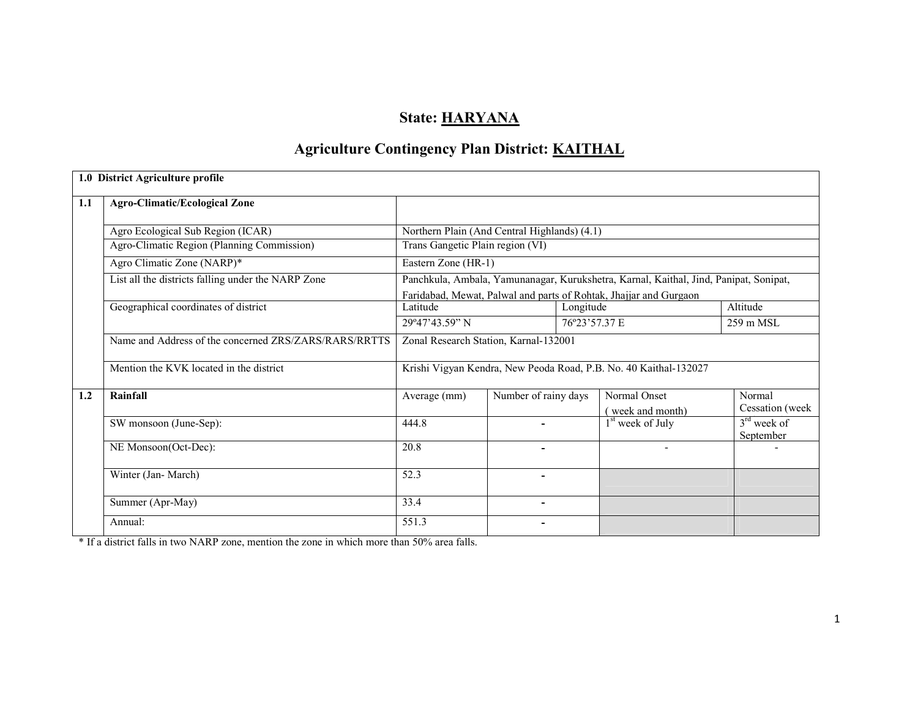# State: HARYANA

# Agriculture Contingency Plan District: KAITHAL

|     | 1.0 District Agriculture profile                      |                                              |                      |           |                                                                                       |                            |
|-----|-------------------------------------------------------|----------------------------------------------|----------------------|-----------|---------------------------------------------------------------------------------------|----------------------------|
| 1.1 | <b>Agro-Climatic/Ecological Zone</b>                  |                                              |                      |           |                                                                                       |                            |
|     | Agro Ecological Sub Region (ICAR)                     | Northern Plain (And Central Highlands) (4.1) |                      |           |                                                                                       |                            |
|     | Agro-Climatic Region (Planning Commission)            | Trans Gangetic Plain region (VI)             |                      |           |                                                                                       |                            |
|     | Agro Climatic Zone (NARP)*                            | Eastern Zone (HR-1)                          |                      |           |                                                                                       |                            |
|     | List all the districts falling under the NARP Zone    |                                              |                      |           | Panchkula, Ambala, Yamunanagar, Kurukshetra, Karnal, Kaithal, Jind, Panipat, Sonipat, |                            |
|     |                                                       |                                              |                      |           | Faridabad, Mewat, Palwal and parts of Rohtak, Jhajjar and Gurgaon                     |                            |
|     | Geographical coordinates of district                  | Latitude                                     |                      | Longitude |                                                                                       | Altitude                   |
|     |                                                       | 29°47'43.59" N                               |                      |           | 76°23'57.37 E                                                                         | $259 \text{ m}$ MSL        |
|     | Name and Address of the concerned ZRS/ZARS/RARS/RRTTS | Zonal Research Station, Karnal-132001        |                      |           |                                                                                       |                            |
|     | Mention the KVK located in the district               |                                              |                      |           | Krishi Vigyan Kendra, New Peoda Road, P.B. No. 40 Kaithal-132027                      |                            |
| 1.2 | Rainfall                                              | Average (mm)                                 | Number of rainy days |           | Normal Onset                                                                          | Normal                     |
|     |                                                       |                                              |                      |           | (week and month)                                                                      | Cessation (week            |
|     | SW monsoon (June-Sep):                                | 444.8                                        |                      |           | $1st$ week of July                                                                    | $3rd$ week of<br>September |
|     | NE Monsoon(Oct-Dec):                                  | 20.8                                         |                      |           |                                                                                       |                            |
|     | Winter (Jan-March)                                    | 52.3                                         | Ξ.                   |           |                                                                                       |                            |
|     | Summer (Apr-May)                                      | 33.4                                         | ۰                    |           |                                                                                       |                            |
|     | Annual:                                               | 551.3                                        | ۰                    |           |                                                                                       |                            |

\* If a district falls in two NARP zone, mention the zone in which more than 50% area falls.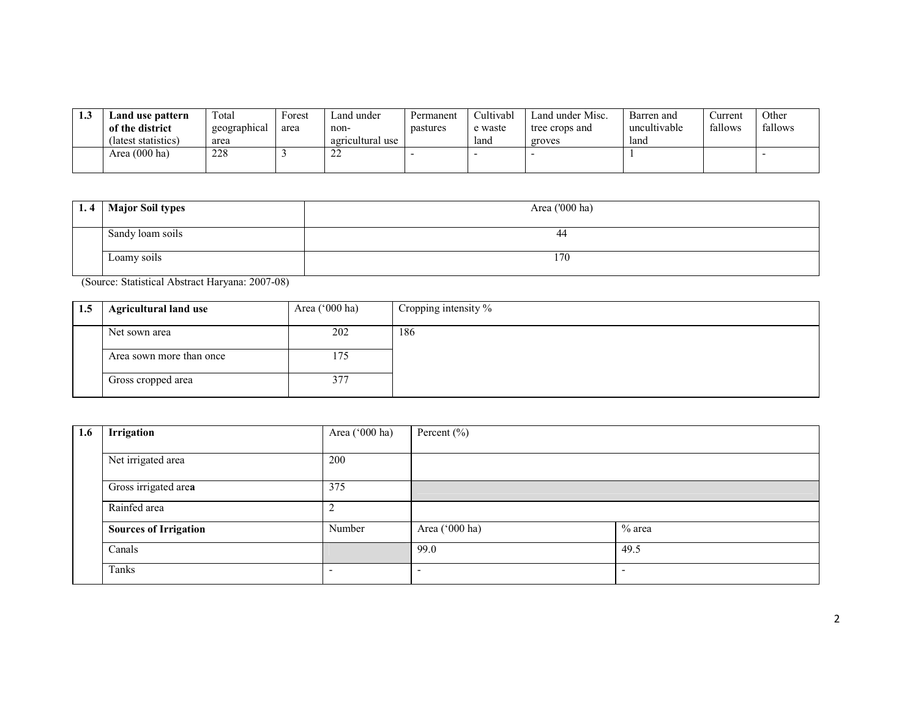| 1.3 | Land use pattern<br>of the district<br>(latest statistics) | $\tau_{\text{otal}}$<br>geographical<br>area | Forest<br>area | ∟and under<br>non-<br>agricultural use | Permanent<br>pastures | Cultivabl<br>e waste<br>land | Land under Misc.<br>tree crops and<br>groves | Barren and<br>uncultivable<br>land | ∠urrent<br>fallows | Other<br>fallows |
|-----|------------------------------------------------------------|----------------------------------------------|----------------|----------------------------------------|-----------------------|------------------------------|----------------------------------------------|------------------------------------|--------------------|------------------|
|     | Area $(000 \text{ ha})$                                    | 228                                          |                | $\sim$<br>--                           |                       |                              |                                              |                                    |                    |                  |

| 1.4 | <b>Major Soil types</b> | Area ('000 ha) |
|-----|-------------------------|----------------|
|     |                         |                |
|     | Sandy loam soils        | 44             |
|     | Loamy soils             | 170            |

(Source: Statistical Abstract Haryana: 2007-08)

| 1.5 | <b>Agricultural land use</b> | Area $('000 ha)$ | Cropping intensity $\%$ |
|-----|------------------------------|------------------|-------------------------|
|     | Net sown area                | 202              | 186                     |
|     | Area sown more than once     | l 75             |                         |
|     | Gross cropped area           | 377              |                         |

| 1.6 | Irrigation                   | Area ('000 ha) | Percent $(\% )$          |          |
|-----|------------------------------|----------------|--------------------------|----------|
|     |                              |                |                          |          |
|     | Net irrigated area           | 200            |                          |          |
|     |                              |                |                          |          |
|     | Gross irrigated area         | 375            |                          |          |
|     | Rainfed area                 | ∸              |                          |          |
|     |                              |                |                          |          |
|     | <b>Sources of Irrigation</b> | Number         | Area ('000 ha)           | $%$ area |
|     | Canals                       |                | 99.0                     | 49.5     |
|     |                              |                |                          |          |
|     | Tanks                        |                | $\overline{\phantom{0}}$ |          |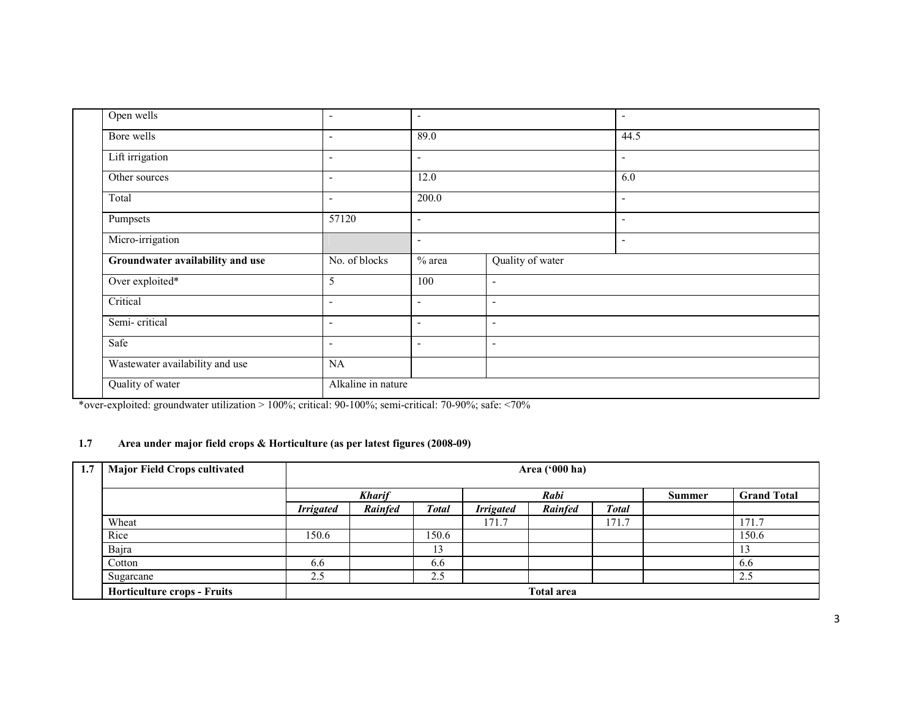| Open wells                       | $\overline{\phantom{a}}$ | $\overline{\phantom{a}}$ |                          | ٠                        |
|----------------------------------|--------------------------|--------------------------|--------------------------|--------------------------|
| Bore wells                       | $\overline{\phantom{a}}$ | 89.0                     |                          | 44.5                     |
| Lift irrigation                  | $\overline{\phantom{a}}$ | $\overline{\phantom{a}}$ |                          | $\overline{\phantom{a}}$ |
| Other sources                    | $\overline{\phantom{a}}$ | 12.0                     |                          | 6.0                      |
| Total                            | $\overline{\phantom{a}}$ | 200.0                    |                          | $\sim$                   |
| Pumpsets                         | 57120                    | $\overline{\phantom{a}}$ |                          | $\overline{\phantom{a}}$ |
| Micro-irrigation                 |                          | $\overline{\phantom{a}}$ |                          | ٠                        |
| Groundwater availability and use | No. of blocks            | $%$ area                 | Quality of water         |                          |
| Over exploited*                  | 5                        | 100                      | $\sim$                   |                          |
| Critical                         | $\overline{\phantom{a}}$ | $\overline{\phantom{a}}$ | ٠                        |                          |
| Semi-critical                    | $\overline{\phantom{a}}$ | $\overline{\phantom{a}}$ | $\overline{\phantom{a}}$ |                          |
| Safe                             | $\overline{\phantom{a}}$ | $\overline{\phantom{a}}$ | ٠                        |                          |
|                                  |                          |                          |                          |                          |
| Wastewater availability and use  | NA                       |                          |                          |                          |

\*over-exploited: groundwater utilization > 100%; critical: 90-100%; semi-critical: 70-90%; safe: <70%

# 1.7 Area under major field crops & Horticulture (as per latest figures (2008-09)

| 1.7 | <b>Major Field Crops cultivated</b> |                  | Area ('000 ha) |       |                  |                   |       |        |                    |  |
|-----|-------------------------------------|------------------|----------------|-------|------------------|-------------------|-------|--------|--------------------|--|
|     |                                     |                  | <b>Kharif</b>  |       |                  | Rabi              |       | Summer | <b>Grand Total</b> |  |
|     |                                     | <b>Irrigated</b> | Rainfed        | Total | <b>Irrigated</b> | Rainfed           | Total |        |                    |  |
|     | Wheat                               |                  |                |       | 171.7            |                   | 171.7 |        | 171.7              |  |
|     | Rice                                | 150.6            |                | 150.6 |                  |                   |       |        | 150.6              |  |
|     | Bajra                               |                  |                | 13    |                  |                   |       |        |                    |  |
|     | Cotton                              | 6.6              |                | 6.6   |                  |                   |       |        | 6.6                |  |
|     | Sugarcane                           | 2.5              |                | 2.5   |                  |                   |       |        | 2.5                |  |
|     | <b>Horticulture crops - Fruits</b>  |                  |                |       |                  | <b>Total area</b> |       |        |                    |  |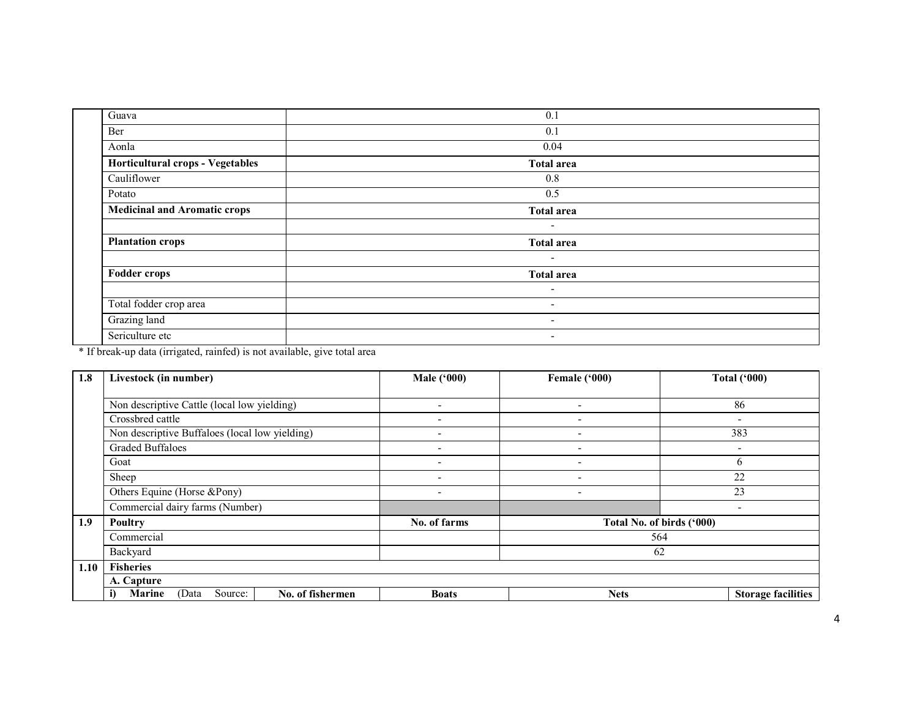| Guava                               | 0.1                      |  |
|-------------------------------------|--------------------------|--|
| Ber                                 | 0.1                      |  |
| Aonla                               | 0.04                     |  |
| Horticultural crops - Vegetables    | <b>Total area</b>        |  |
| Cauliflower                         | 0.8                      |  |
| Potato                              | 0.5                      |  |
| <b>Medicinal and Aromatic crops</b> | <b>Total area</b>        |  |
|                                     | $\overline{\phantom{a}}$ |  |
| <b>Plantation crops</b>             | <b>Total area</b>        |  |
|                                     | $\overline{\phantom{0}}$ |  |
| <b>Fodder crops</b>                 | <b>Total area</b>        |  |
|                                     | $\sim$                   |  |
| Total fodder crop area              | $\overline{\phantom{a}}$ |  |
| Grazing land                        | ۰.                       |  |
| Sericulture etc                     | ۰                        |  |

\* If break-up data (irrigated, rainfed) is not available, give total area

| 1.8  | Livestock (in number)                                 | <b>Male</b> ('000)       | Female ('000)            | <b>Total ('000)</b>       |  |
|------|-------------------------------------------------------|--------------------------|--------------------------|---------------------------|--|
|      |                                                       |                          |                          |                           |  |
|      | Non descriptive Cattle (local low yielding)           | $\overline{\phantom{0}}$ | $\overline{\phantom{0}}$ | 86                        |  |
|      | Crossbred cattle                                      | $\overline{\phantom{0}}$ | $\overline{\phantom{0}}$ | $\overline{\phantom{0}}$  |  |
|      | Non descriptive Buffaloes (local low yielding)        | $\overline{\phantom{0}}$ | $\overline{\phantom{0}}$ | 383                       |  |
|      | <b>Graded Buffaloes</b>                               |                          |                          |                           |  |
|      | Goat                                                  |                          |                          | 6                         |  |
|      | Sheep                                                 | $\overline{\phantom{0}}$ | $\overline{\phantom{0}}$ | 22                        |  |
|      | Others Equine (Horse &Pony)                           | -                        |                          | 23                        |  |
|      | Commercial dairy farms (Number)                       |                          |                          | $\overline{\phantom{0}}$  |  |
| 1.9  | <b>Poultry</b>                                        | No. of farms             |                          | Total No. of birds ('000) |  |
|      | Commercial                                            |                          |                          | 564                       |  |
|      | Backyard                                              |                          | 62                       |                           |  |
| 1.10 | <b>Fisheries</b>                                      |                          |                          |                           |  |
|      | A. Capture                                            |                          |                          |                           |  |
|      | Source:<br>No. of fishermen<br><b>Marine</b><br>(Data | <b>Boats</b>             | <b>Nets</b>              | <b>Storage facilities</b> |  |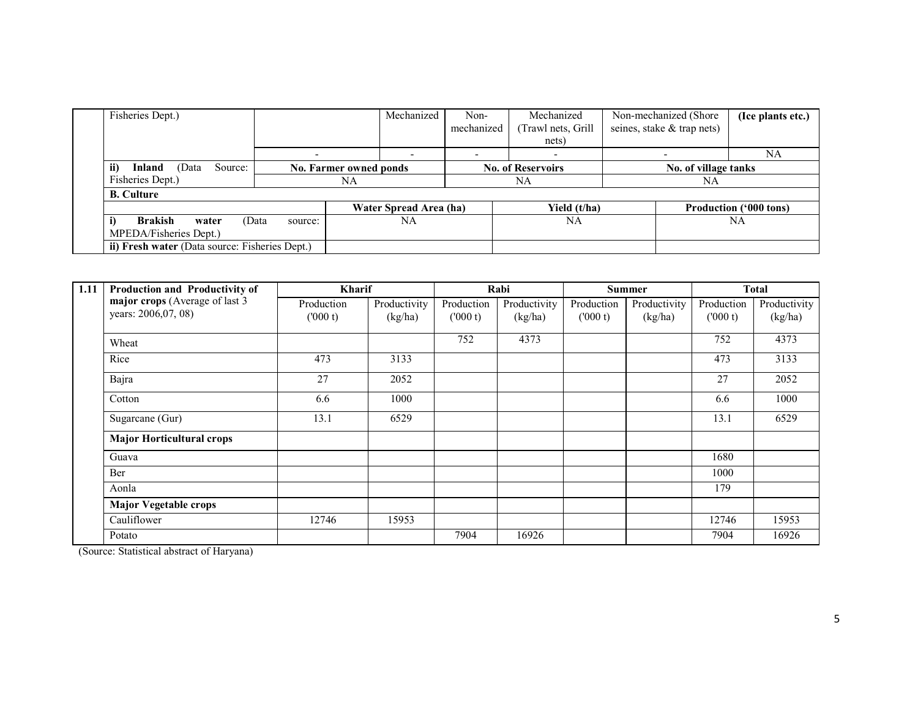| Fisheries Dept.)                                           |         | Mechanized                    | Non-       | Mechanized                  | Non-mechanized (Shore      | (Ice plants etc.)             |
|------------------------------------------------------------|---------|-------------------------------|------------|-----------------------------|----------------------------|-------------------------------|
|                                                            |         |                               | mechanized | (Trawl nets, Grill<br>nets) | seines, stake & trap nets) |                               |
|                                                            |         |                               |            |                             |                            | NA                            |
| ii)<br>Inland<br>(Data<br>Source:                          |         | <b>No. Farmer owned ponds</b> |            | <b>No. of Reservoirs</b>    | No. of village tanks       |                               |
| Fisheries Dept.)                                           |         | NA                            |            | NA                          | NA                         |                               |
| <b>B.</b> Culture                                          |         |                               |            |                             |                            |                               |
|                                                            |         | Water Spread Area (ha)        |            | Yield (t/ha)                |                            | <b>Production ('000 tons)</b> |
| <b>Brakish</b><br>(Data<br>water<br>MPEDA/Fisheries Dept.) | source: | NA                            |            | NA                          |                            | NA                            |
| ii) Fresh water (Data source: Fisheries Dept.)             |         |                               |            |                             |                            |                               |

| 1.11 | Production and Productivity of   | <b>Kharif</b> |              |            | Rabi         |            | <b>Summer</b> |            | <b>Total</b> |
|------|----------------------------------|---------------|--------------|------------|--------------|------------|---------------|------------|--------------|
|      | major crops (Average of last 3   | Production    | Productivity | Production | Productivity | Production | Productivity  | Production | Productivity |
|      | years: 2006,07, 08)              | (000 t)       | (kg/ha)      | (000 t)    | (kg/ha)      | (000 t)    | (kg/ha)       | (000 t)    | (kg/ha)      |
|      | Wheat                            |               |              | 752        | 4373         |            |               | 752        | 4373         |
|      | Rice                             | 473           | 3133         |            |              |            |               | 473        | 3133         |
|      | Bajra                            | 27            | 2052         |            |              |            |               | 27         | 2052         |
|      | Cotton                           | 6.6           | 1000         |            |              |            |               | 6.6        | 1000         |
|      | Sugarcane (Gur)                  | 13.1          | 6529         |            |              |            |               | 13.1       | 6529         |
|      | <b>Major Horticultural crops</b> |               |              |            |              |            |               |            |              |
|      | Guava                            |               |              |            |              |            |               | 1680       |              |
|      | <b>Ber</b>                       |               |              |            |              |            |               | 1000       |              |
|      | Aonla                            |               |              |            |              |            |               | 179        |              |
|      | <b>Major Vegetable crops</b>     |               |              |            |              |            |               |            |              |
|      | Cauliflower                      | 12746         | 15953        |            |              |            |               | 12746      | 15953        |
|      | Potato                           |               |              | 7904       | 16926        |            |               | 7904       | 16926        |

(Source: Statistical abstract of Haryana)

L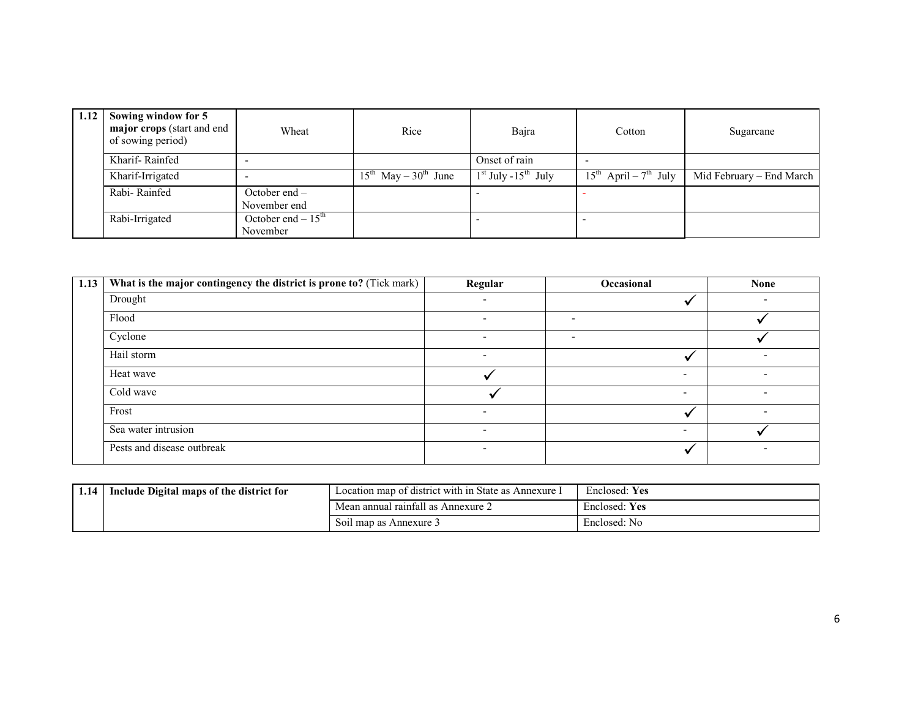| 1.12 | Sowing window for 5<br>major crops (start and end<br>of sowing period) | Wheat                           | Rice                           | Bajra                             | Cotton                          | Sugarcane                |
|------|------------------------------------------------------------------------|---------------------------------|--------------------------------|-----------------------------------|---------------------------------|--------------------------|
|      | Kharif-Rainfed                                                         |                                 |                                | Onset of rain                     |                                 |                          |
|      | Kharif-Irrigated                                                       |                                 | $15^{th}$ May – $30^{th}$ June | $1st$ July -15 <sup>th</sup> July | $15^{th}$ April – $7^{th}$ July | Mid February – End March |
|      | Rabi-Rainfed                                                           | October end $-$<br>November end |                                |                                   |                                 |                          |
|      | Rabi-Irrigated                                                         | October end $-15th$<br>November |                                |                                   |                                 |                          |

| 1.13 | What is the major contingency the district is prone to? (Tick mark) | Regular                  | Occasional               | <b>None</b>              |
|------|---------------------------------------------------------------------|--------------------------|--------------------------|--------------------------|
|      | Drought                                                             |                          |                          |                          |
|      | Flood                                                               | $\overline{\phantom{a}}$ | $\overline{\phantom{a}}$ |                          |
|      | Cyclone                                                             | $\overline{\phantom{0}}$ |                          |                          |
|      | Hail storm                                                          | $\overline{\phantom{a}}$ |                          |                          |
|      | Heat wave                                                           |                          | $\overline{\phantom{0}}$ | $\overline{\phantom{0}}$ |
|      | Cold wave                                                           |                          | $\overline{\phantom{0}}$ |                          |
|      | Frost                                                               | $\overline{\phantom{0}}$ |                          | ۰                        |
|      | Sea water intrusion                                                 | $\overline{\phantom{a}}$ | $\overline{\phantom{0}}$ |                          |
|      | Pests and disease outbreak                                          | $\overline{\phantom{a}}$ |                          |                          |

| 1.14 | Include Digital maps of the district for | Location map of district with in State as Annexure I | Enclosed: Yes |
|------|------------------------------------------|------------------------------------------------------|---------------|
|      |                                          | Mean annual rainfall as Annexure 2                   | Enclosed: Yes |
|      |                                          | Soil map as Annexure 3                               | Enclosed: No  |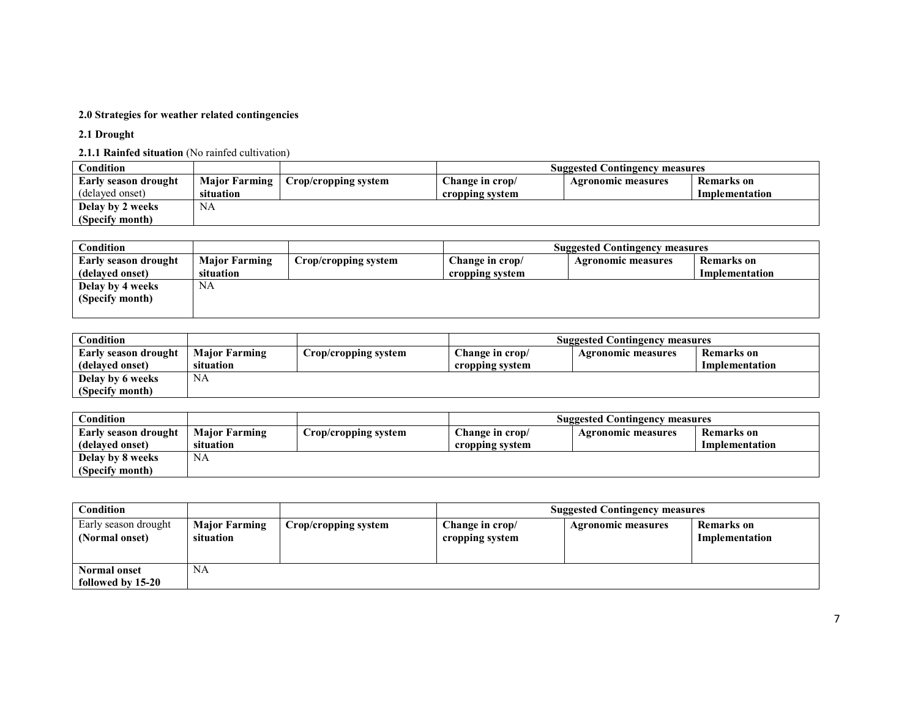### 2.0 Strategies for weather related contingencies

2.1 Drought

2.1.1 Rainfed situation (No rainfed cultivation)

| Condition            |                      |                      | <b>Suggested Contingency measures</b> |                    |                |
|----------------------|----------------------|----------------------|---------------------------------------|--------------------|----------------|
| Early season drought | <b>Major Farming</b> | Crop/cropping system | Change in crop/                       | Agronomic measures | Remarks on     |
| (delayed onset)      | situation            |                      | cropping system                       |                    | Implementation |
| Delay by 2 weeks     | NA                   |                      |                                       |                    |                |
| (Specify month)      |                      |                      |                                       |                    |                |

| Condition            |                      |                      |                 | <b>Suggested Contingency measures</b> |                |
|----------------------|----------------------|----------------------|-----------------|---------------------------------------|----------------|
| Early season drought | <b>Major Farming</b> | Crop/cropping system | Change in crop/ | <b>Agronomic measures</b>             | Remarks on     |
| (delayed onset)      | situation            |                      | cropping system |                                       | Implementation |
| Delay by 4 weeks     | NA                   |                      |                 |                                       |                |
| (Specify month)      |                      |                      |                 |                                       |                |
|                      |                      |                      |                 |                                       |                |

| $\mathbf C$ ondition        |                      |                      |                 | <b>Suggested Contingency measures</b> |                   |
|-----------------------------|----------------------|----------------------|-----------------|---------------------------------------|-------------------|
| <b>Early season drought</b> | <b>Major Farming</b> | Crop/cropping system | Change in crop/ | <b>Agronomic measures</b>             | <b>Remarks</b> on |
| (delayed onset)             | situation            |                      | cropping system |                                       | Implementation    |
| Delay by 6 weeks            | NA                   |                      |                 |                                       |                   |
| (Specify month)             |                      |                      |                 |                                       |                   |

| $\complement$ ondition |                      |                      |                 | <b>Suggested Contingency measures</b> |                |
|------------------------|----------------------|----------------------|-----------------|---------------------------------------|----------------|
| Early season drought   | <b>Major Farming</b> | Crop/cropping system | Change in crop/ | Agronomic measures                    | Remarks on     |
| (delayed onset)        | situation            |                      | cropping system |                                       | Implementation |
| Delay by 8 weeks       | NA                   |                      |                 |                                       |                |
| (Specify month)        |                      |                      |                 |                                       |                |

| Condition                                |                                   |                      | <b>Suggested Contingency measures</b> |                           |                              |
|------------------------------------------|-----------------------------------|----------------------|---------------------------------------|---------------------------|------------------------------|
| Early season drought<br>(Normal onset)   | <b>Major Farming</b><br>situation | Crop/cropping system | Change in crop/<br>cropping system    | <b>Agronomic measures</b> | Remarks on<br>Implementation |
| <b>Normal onset</b><br>followed by 15-20 | <b>NA</b>                         |                      |                                       |                           |                              |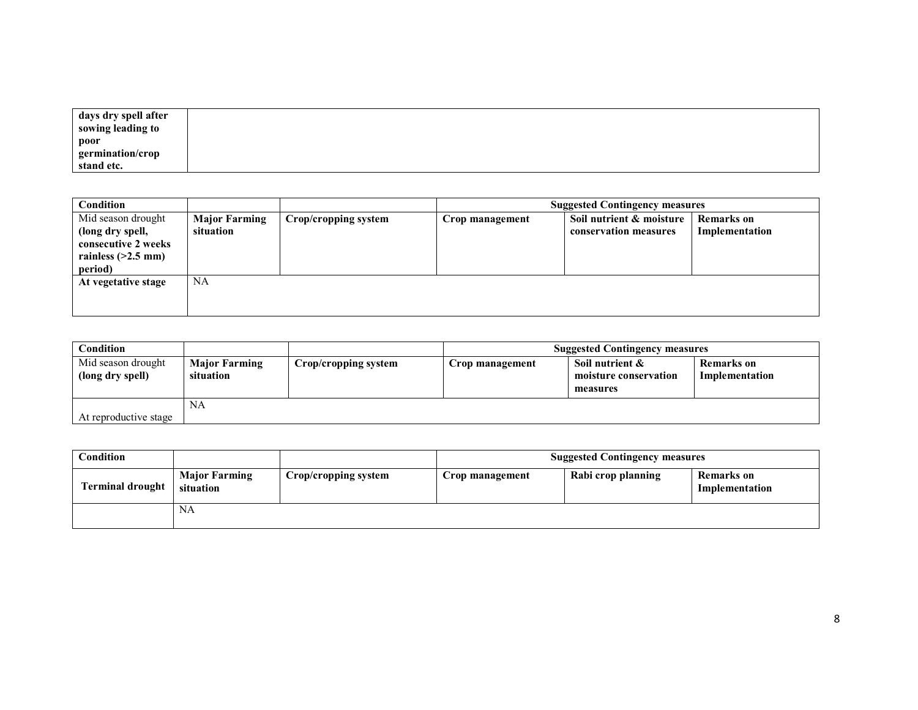| days dry spell after |  |
|----------------------|--|
| sowing leading to    |  |
| poor                 |  |
| germination/crop     |  |
| stand etc.           |  |

| Condition                                                                                        |                                   |                      | <b>Suggested Contingency measures</b> |                                                   |                                     |
|--------------------------------------------------------------------------------------------------|-----------------------------------|----------------------|---------------------------------------|---------------------------------------------------|-------------------------------------|
| Mid season drought<br>(long dry spell,<br>consecutive 2 weeks<br>rainless $(>2.5$ mm)<br>period) | <b>Major Farming</b><br>situation | Crop/cropping system | Crop management                       | Soil nutrient & moisture<br>conservation measures | <b>Remarks</b> on<br>Implementation |
| At vegetative stage                                                                              | <b>NA</b>                         |                      |                                       |                                                   |                                     |

| Condition                              |                                   |                      | <b>Suggested Contingency measures</b> |                                                         |                                     |
|----------------------------------------|-----------------------------------|----------------------|---------------------------------------|---------------------------------------------------------|-------------------------------------|
| Mid season drought<br>(long dry spell) | <b>Major Farming</b><br>situation | Crop/cropping system | Crop management                       | Soil nutrient $\&$<br>moisture conservation<br>measures | <b>Remarks</b> on<br>Implementation |
| At reproductive stage                  | NA                                |                      |                                       |                                                         |                                     |

| Condition               |                                   |                      | <b>Suggested Contingency measures</b> |                    |                              |
|-------------------------|-----------------------------------|----------------------|---------------------------------------|--------------------|------------------------------|
| <b>Terminal drought</b> | <b>Major Farming</b><br>situation | Crop/cropping system | Crop management                       | Rabi crop planning | Remarks on<br>Implementation |
|                         | NA                                |                      |                                       |                    |                              |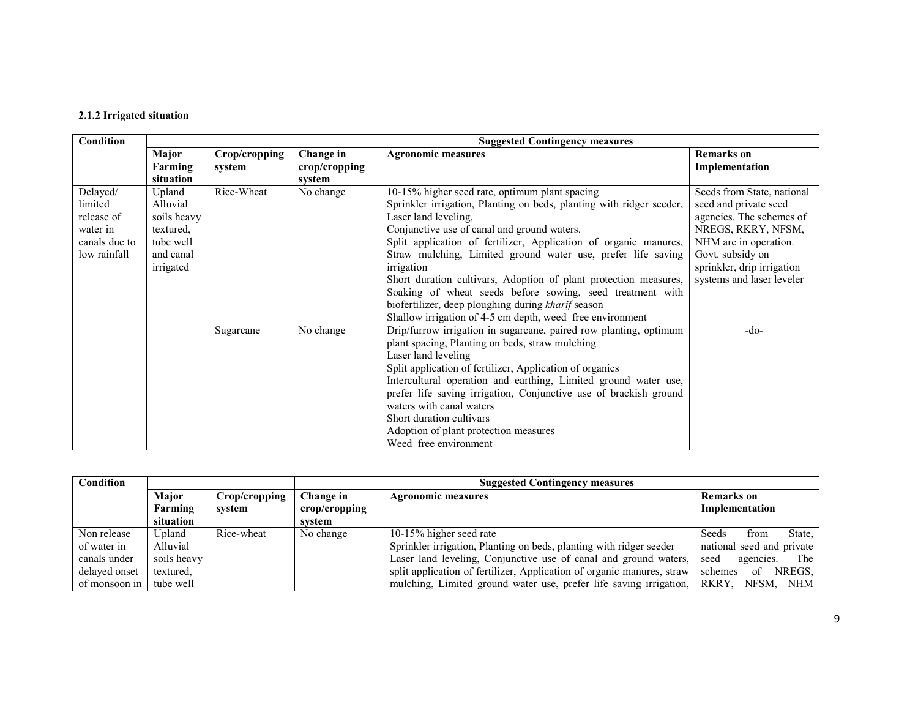### 2.1.2 Irrigated situation

| Condition                                                                      |                                                                                       |                         |                                                  |                                                                                                                                                                                                                                                                                                                                                                                                                                                                                                                                                                                                     |                                                                                                                                                                                                               |
|--------------------------------------------------------------------------------|---------------------------------------------------------------------------------------|-------------------------|--------------------------------------------------|-----------------------------------------------------------------------------------------------------------------------------------------------------------------------------------------------------------------------------------------------------------------------------------------------------------------------------------------------------------------------------------------------------------------------------------------------------------------------------------------------------------------------------------------------------------------------------------------------------|---------------------------------------------------------------------------------------------------------------------------------------------------------------------------------------------------------------|
|                                                                                | <b>Major</b><br>Farming<br>situation                                                  | Crop/cropping<br>system | Change in<br>$\mathbf{crop/c}$ ropping<br>system | <b>Agronomic measures</b>                                                                                                                                                                                                                                                                                                                                                                                                                                                                                                                                                                           | <b>Remarks</b> on<br>Implementation                                                                                                                                                                           |
| Delayed/<br>limited<br>release of<br>water in<br>canals due to<br>low rainfall | Upland<br>Alluvial<br>soils heavy<br>textured,<br>tube well<br>and canal<br>irrigated | Rice-Wheat              | No change                                        | 10-15% higher seed rate, optimum plant spacing<br>Sprinkler irrigation, Planting on beds, planting with ridger seeder,<br>Laser land leveling,<br>Conjunctive use of canal and ground waters.<br>Split application of fertilizer, Application of organic manures,<br>Straw mulching, Limited ground water use, prefer life saving<br>irrigation<br>Short duration cultivars, Adoption of plant protection measures,<br>Soaking of wheat seeds before sowing, seed treatment with<br>biofertilizer, deep ploughing during kharif season<br>Shallow irrigation of 4-5 cm depth, weed free environment | Seeds from State, national<br>seed and private seed<br>agencies. The schemes of<br>NREGS, RKRY, NFSM,<br>NHM are in operation.<br>Govt. subsidy on<br>sprinkler, drip irrigation<br>systems and laser leveler |
|                                                                                |                                                                                       | Sugarcane               | No change                                        | Drip/furrow irrigation in sugarcane, paired row planting, optimum<br>plant spacing, Planting on beds, straw mulching<br>Laser land leveling<br>Split application of fertilizer, Application of organics<br>Intercultural operation and earthing, Limited ground water use,<br>prefer life saving irrigation, Conjunctive use of brackish ground<br>waters with canal waters<br>Short duration cultivars<br>Adoption of plant protection measures<br>Weed free environment                                                                                                                           | -do-                                                                                                                                                                                                          |

| Condition               |              |               |                           | <b>Suggested Contingency measures</b>                                          |                           |  |  |
|-------------------------|--------------|---------------|---------------------------|--------------------------------------------------------------------------------|---------------------------|--|--|
|                         | <b>Maior</b> | Crop/cropping | Change in                 | <b>Remarks</b> on<br><b>Agronomic measures</b>                                 |                           |  |  |
|                         | Farming      | system        | $\mathbf{crop/c}$ ropping |                                                                                | Implementation            |  |  |
|                         | situation    |               | svstem                    |                                                                                |                           |  |  |
| Non release             | Upland       | Rice-wheat    | No change                 | 10-15% higher seed rate                                                        | State,<br>Seeds<br>from   |  |  |
| of water in             | Alluvial     |               |                           | Sprinkler irrigation, Planting on beds, planting with ridger seeder            | national seed and private |  |  |
| canals under            | soils heavy  |               |                           | Laser land leveling, Conjunctive use of canal and ground waters,               | The<br>seed<br>agencies.  |  |  |
| delayed onset           | textured.    |               |                           | split application of fertilizer, Application of organic manures, straw         | schemes<br>NREGS.<br>0f.  |  |  |
| of monsoon in tube well |              |               |                           | mulching, Limited ground water use, prefer life saving irrigation, RKRY, NFSM, | NHM                       |  |  |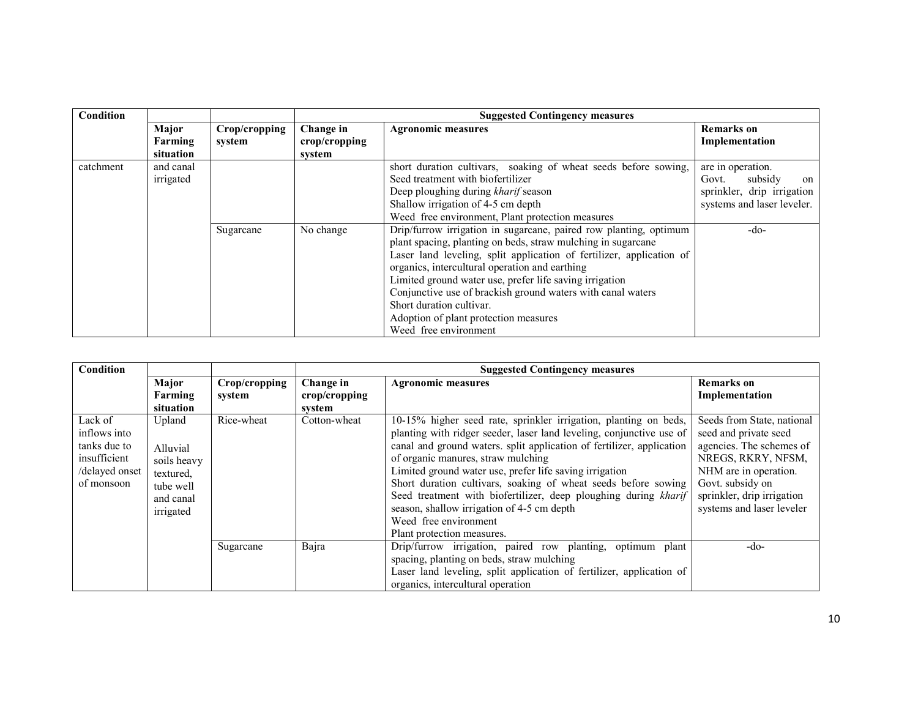| Condition |           |               |               | <b>Suggested Contingency measures</b>                                |                                |
|-----------|-----------|---------------|---------------|----------------------------------------------------------------------|--------------------------------|
|           | Major     | Crop/cropping | Change in     | <b>Agronomic measures</b>                                            | Remarks on                     |
|           | Farming   | system        | crop/cropping |                                                                      | Implementation                 |
|           | situation |               | system        |                                                                      |                                |
| catchment | and canal |               |               | short duration cultivars, soaking of wheat seeds before sowing,      | $\overline{are}$ in operation. |
|           | irrigated |               |               | Seed treatment with biofertilizer                                    | subsidy<br>Govt.<br>on         |
|           |           |               |               | Deep ploughing during kharif season                                  | sprinkler, drip irrigation     |
|           |           |               |               | Shallow irrigation of 4-5 cm depth                                   | systems and laser leveler.     |
|           |           |               |               | Weed free environment, Plant protection measures                     |                                |
|           |           | Sugarcane     | No change     | Drip/furrow irrigation in sugarcane, paired row planting, optimum    | $-dO$                          |
|           |           |               |               | plant spacing, planting on beds, straw mulching in sugarcane         |                                |
|           |           |               |               | Laser land leveling, split application of fertilizer, application of |                                |
|           |           |               |               | organics, intercultural operation and earthing                       |                                |
|           |           |               |               | Limited ground water use, prefer life saving irrigation              |                                |
|           |           |               |               | Conjunctive use of brackish ground waters with canal waters          |                                |
|           |           |               |               | Short duration cultivar.                                             |                                |
|           |           |               |               | Adoption of plant protection measures                                |                                |
|           |           |               |               | Weed free environment                                                |                                |

| <b>Condition</b>                                                                        |                                                                                       |                         |                                      | <b>Suggested Contingency measures</b>                                                                                                                                                                                                                                                                                                                                                                                                                                                                                                                        |                                                                                                                                                                                                               |  |
|-----------------------------------------------------------------------------------------|---------------------------------------------------------------------------------------|-------------------------|--------------------------------------|--------------------------------------------------------------------------------------------------------------------------------------------------------------------------------------------------------------------------------------------------------------------------------------------------------------------------------------------------------------------------------------------------------------------------------------------------------------------------------------------------------------------------------------------------------------|---------------------------------------------------------------------------------------------------------------------------------------------------------------------------------------------------------------|--|
|                                                                                         | Major<br>Farming<br>situation                                                         | Crop/cropping<br>system | Change in<br>crop/cropping<br>system | <b>Agronomic measures</b>                                                                                                                                                                                                                                                                                                                                                                                                                                                                                                                                    | Remarks on<br>Implementation                                                                                                                                                                                  |  |
| Lack of<br>inflows into<br>tanks due to<br>insufficient<br>/delayed onset<br>of monsoon | Upland<br>Alluvial<br>soils heavy<br>textured,<br>tube well<br>and canal<br>irrigated | Rice-wheat              | Cotton-wheat                         | 10-15% higher seed rate, sprinkler irrigation, planting on beds,<br>planting with ridger seeder, laser land leveling, conjunctive use of<br>canal and ground waters. split application of fertilizer, application<br>of organic manures, straw mulching<br>Limited ground water use, prefer life saving irrigation<br>Short duration cultivars, soaking of wheat seeds before sowing<br>Seed treatment with biofertilizer, deep ploughing during kharif<br>season, shallow irrigation of 4-5 cm depth<br>Weed free environment<br>Plant protection measures. | Seeds from State, national<br>seed and private seed<br>agencies. The schemes of<br>NREGS, RKRY, NFSM,<br>NHM are in operation.<br>Govt. subsidy on<br>sprinkler, drip irrigation<br>systems and laser leveler |  |
|                                                                                         |                                                                                       | Sugarcane               | Bajra                                | Drip/furrow irrigation, paired row planting, optimum plant<br>spacing, planting on beds, straw mulching<br>Laser land leveling, split application of fertilizer, application of<br>organics, intercultural operation                                                                                                                                                                                                                                                                                                                                         | $-do-$                                                                                                                                                                                                        |  |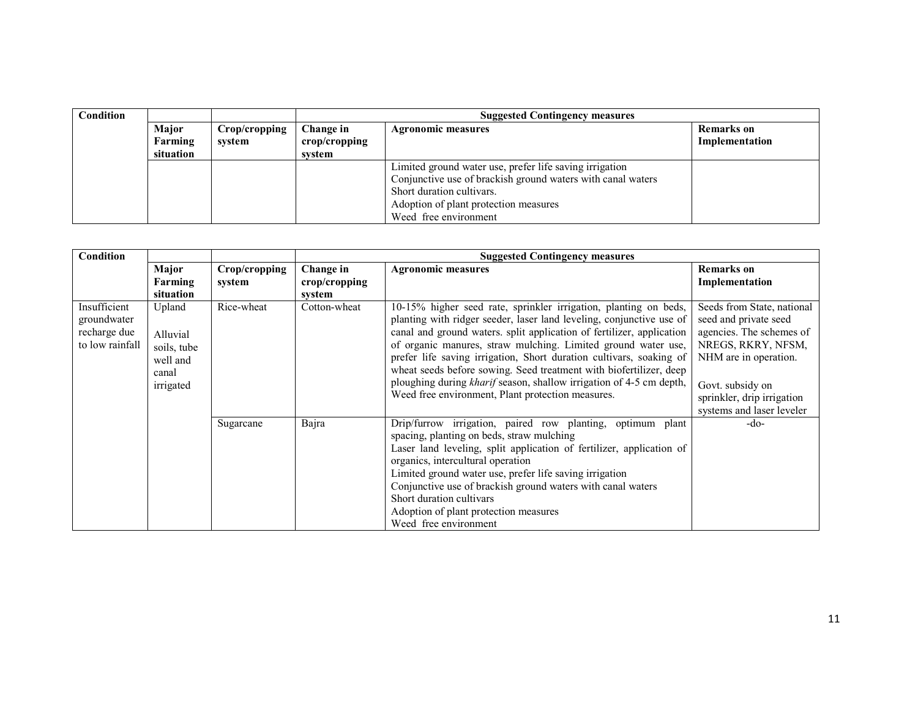| <b>Condition</b> |           |               |                           | <b>Suggested Contingency measures</b>                       |                   |  |
|------------------|-----------|---------------|---------------------------|-------------------------------------------------------------|-------------------|--|
|                  | Major     | Crop/cropping | Change in                 | <b>Agronomic measures</b>                                   | <b>Remarks</b> on |  |
|                  | Farming   | system        | $\mathbf{crop/c}$ ropping |                                                             | Implementation    |  |
|                  | situation |               | system                    |                                                             |                   |  |
|                  |           |               |                           | Limited ground water use, prefer life saving irrigation     |                   |  |
|                  |           |               |                           | Conjunctive use of brackish ground waters with canal waters |                   |  |
|                  |           |               |                           | Short duration cultivars.                                   |                   |  |
|                  |           |               |                           | Adoption of plant protection measures                       |                   |  |
|                  |           |               |                           | Weed free environment                                       |                   |  |

| Condition                                                      |                                                                     |                         | <b>Suggested Contingency measures</b> |                                                                                                                                                                                                                                                                                                                                                                                                                                                                                                                                                             |                                                                                                                                                                                                               |  |
|----------------------------------------------------------------|---------------------------------------------------------------------|-------------------------|---------------------------------------|-------------------------------------------------------------------------------------------------------------------------------------------------------------------------------------------------------------------------------------------------------------------------------------------------------------------------------------------------------------------------------------------------------------------------------------------------------------------------------------------------------------------------------------------------------------|---------------------------------------------------------------------------------------------------------------------------------------------------------------------------------------------------------------|--|
|                                                                | Major<br>Farming<br>situation                                       | Crop/cropping<br>system | Change in<br>crop/cropping<br>system  | <b>Agronomic measures</b>                                                                                                                                                                                                                                                                                                                                                                                                                                                                                                                                   | <b>Remarks</b> on<br>Implementation                                                                                                                                                                           |  |
| Insufficient<br>groundwater<br>recharge due<br>to low rainfall | Upland<br>Alluvial<br>soils, tube<br>well and<br>canal<br>irrigated | Rice-wheat              | Cotton-wheat                          | 10-15% higher seed rate, sprinkler irrigation, planting on beds,<br>planting with ridger seeder, laser land leveling, conjunctive use of<br>canal and ground waters. split application of fertilizer, application<br>of organic manures, straw mulching. Limited ground water use,<br>prefer life saving irrigation, Short duration cultivars, soaking of<br>wheat seeds before sowing. Seed treatment with biofertilizer, deep<br>ploughing during kharif season, shallow irrigation of 4-5 cm depth,<br>Weed free environment, Plant protection measures. | Seeds from State, national<br>seed and private seed<br>agencies. The schemes of<br>NREGS, RKRY, NFSM,<br>NHM are in operation.<br>Govt. subsidy on<br>sprinkler, drip irrigation<br>systems and laser leveler |  |
|                                                                |                                                                     | Sugarcane               | Bajra                                 | Drip/furrow irrigation, paired row planting, optimum plant<br>spacing, planting on beds, straw mulching<br>Laser land leveling, split application of fertilizer, application of<br>organics, intercultural operation<br>Limited ground water use, prefer life saving irrigation<br>Conjunctive use of brackish ground waters with canal waters<br>Short duration cultivars<br>Adoption of plant protection measures<br>Weed free environment                                                                                                                | $-do-$                                                                                                                                                                                                        |  |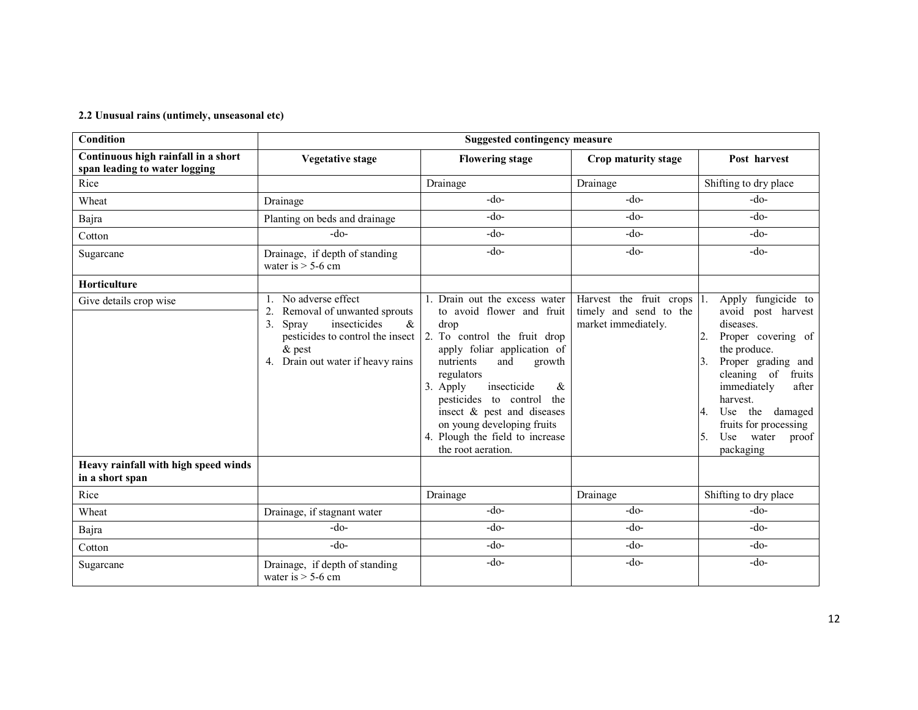### 2.2 Unusual rains (untimely, unseasonal etc)

| <b>Condition</b>                                                     | <b>Suggested contingency measure</b>                                                                                                                                                  |                                                                                                                                                                                                                                                                                                                                                                    |                                                                                 |                                                                                                                                                                                                                                                                                          |  |  |
|----------------------------------------------------------------------|---------------------------------------------------------------------------------------------------------------------------------------------------------------------------------------|--------------------------------------------------------------------------------------------------------------------------------------------------------------------------------------------------------------------------------------------------------------------------------------------------------------------------------------------------------------------|---------------------------------------------------------------------------------|------------------------------------------------------------------------------------------------------------------------------------------------------------------------------------------------------------------------------------------------------------------------------------------|--|--|
| Continuous high rainfall in a short<br>span leading to water logging | <b>Vegetative stage</b>                                                                                                                                                               | <b>Flowering stage</b>                                                                                                                                                                                                                                                                                                                                             | Crop maturity stage                                                             | Post harvest                                                                                                                                                                                                                                                                             |  |  |
| Rice                                                                 |                                                                                                                                                                                       | Drainage                                                                                                                                                                                                                                                                                                                                                           | Drainage                                                                        | Shifting to dry place                                                                                                                                                                                                                                                                    |  |  |
| Wheat                                                                | Drainage                                                                                                                                                                              | $-do-$                                                                                                                                                                                                                                                                                                                                                             | $-do-$                                                                          | $-do-$                                                                                                                                                                                                                                                                                   |  |  |
| Bajra                                                                | Planting on beds and drainage                                                                                                                                                         | $-do-$                                                                                                                                                                                                                                                                                                                                                             | $-do-$                                                                          | $-do-$                                                                                                                                                                                                                                                                                   |  |  |
| Cotton                                                               | $-do-$                                                                                                                                                                                | $-do-$                                                                                                                                                                                                                                                                                                                                                             | $-do-$                                                                          | $-do-$                                                                                                                                                                                                                                                                                   |  |  |
| Sugarcane                                                            | Drainage, if depth of standing<br>water is $>$ 5-6 cm                                                                                                                                 | $-do-$                                                                                                                                                                                                                                                                                                                                                             | $-do-$                                                                          | $-do-$                                                                                                                                                                                                                                                                                   |  |  |
| Horticulture                                                         |                                                                                                                                                                                       |                                                                                                                                                                                                                                                                                                                                                                    |                                                                                 |                                                                                                                                                                                                                                                                                          |  |  |
| Give details crop wise                                               | 1. No adverse effect<br>2.<br>Removal of unwanted sprouts<br>insecticides<br>$\&$<br>3.<br>Spray<br>pesticides to control the insect<br>$&$ pest<br>4. Drain out water if heavy rains | 1. Drain out the excess water<br>to avoid flower and fruit<br>drop<br>2. To control the fruit drop<br>apply foliar application of<br>nutrients<br>and<br>growth<br>regulators<br>insecticide<br>3. Apply<br>&<br>pesticides to control<br>the<br>insect & pest and diseases<br>on young developing fruits<br>4. Plough the field to increase<br>the root aeration. | Harvest the fruit crops $ 1$ .<br>timely and send to the<br>market immediately. | Apply fungicide to<br>avoid post harvest<br>diseases.<br>2.<br>Proper covering of<br>the produce.<br>Proper grading and<br>3.<br>cleaning of<br>fruits<br>immediately<br>after<br>harvest.<br>Use the damaged<br>4.<br>fruits for processing<br>water<br>Use<br>proof<br>5.<br>packaging |  |  |
| Heavy rainfall with high speed winds<br>in a short span              |                                                                                                                                                                                       |                                                                                                                                                                                                                                                                                                                                                                    |                                                                                 |                                                                                                                                                                                                                                                                                          |  |  |
| Rice                                                                 |                                                                                                                                                                                       | Drainage                                                                                                                                                                                                                                                                                                                                                           | Drainage                                                                        | Shifting to dry place                                                                                                                                                                                                                                                                    |  |  |
| Wheat                                                                | Drainage, if stagnant water                                                                                                                                                           | $-do-$                                                                                                                                                                                                                                                                                                                                                             | $-do-$                                                                          | $-do-$                                                                                                                                                                                                                                                                                   |  |  |
| Bajra                                                                | $-do-$                                                                                                                                                                                | $-do-$                                                                                                                                                                                                                                                                                                                                                             | $-do-$                                                                          | $-do-$                                                                                                                                                                                                                                                                                   |  |  |
| Cotton                                                               | $-do-$                                                                                                                                                                                | $-do-$                                                                                                                                                                                                                                                                                                                                                             | $-do-$                                                                          | $-do-$                                                                                                                                                                                                                                                                                   |  |  |
| Sugarcane                                                            | Drainage, if depth of standing<br>water is $>$ 5-6 cm                                                                                                                                 | $-do-$                                                                                                                                                                                                                                                                                                                                                             | $-do-$                                                                          | $-do-$                                                                                                                                                                                                                                                                                   |  |  |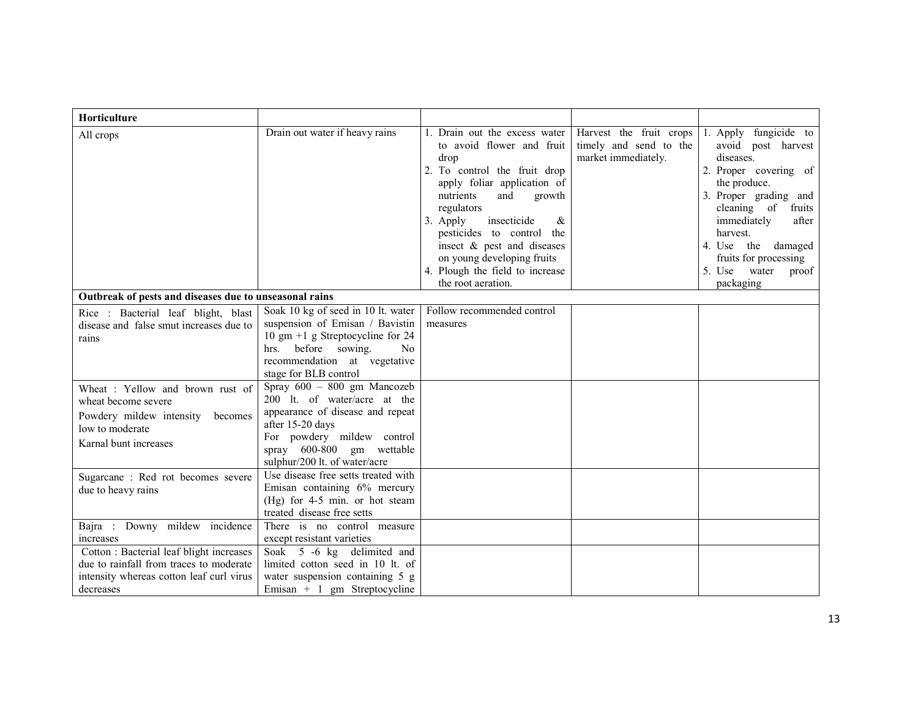| Horticulture                                                                                                                                      |                                                                                                                                                                                                                                                                              |                                                                                                                                                                                                                                                                                                                                                                 |                                                                          |                                                                                                                                                                                                                                                                                    |
|---------------------------------------------------------------------------------------------------------------------------------------------------|------------------------------------------------------------------------------------------------------------------------------------------------------------------------------------------------------------------------------------------------------------------------------|-----------------------------------------------------------------------------------------------------------------------------------------------------------------------------------------------------------------------------------------------------------------------------------------------------------------------------------------------------------------|--------------------------------------------------------------------------|------------------------------------------------------------------------------------------------------------------------------------------------------------------------------------------------------------------------------------------------------------------------------------|
| All crops                                                                                                                                         | Drain out water if heavy rains                                                                                                                                                                                                                                               | 1. Drain out the excess water<br>to avoid flower and fruit<br>drop<br>2. To control the fruit drop<br>apply foliar application of<br>nutrients<br>and<br>growth<br>regulators<br>3. Apply<br>insecticide<br>&<br>pesticides to control the<br>insect & pest and diseases<br>on young developing fruits<br>4. Plough the field to increase<br>the root aeration. | Harvest the fruit crops<br>timely and send to the<br>market immediately. | Apply fungicide to<br>1.<br>avoid post harvest<br>diseases.<br>2. Proper covering of<br>the produce.<br>3. Proper grading and<br>cleaning of<br>fruits<br>immediately<br>after<br>harvest.<br>4. Use the damaged<br>fruits for processing<br>5. Use<br>water<br>proof<br>packaging |
| Outbreak of pests and diseases due to unseasonal rains                                                                                            |                                                                                                                                                                                                                                                                              |                                                                                                                                                                                                                                                                                                                                                                 |                                                                          |                                                                                                                                                                                                                                                                                    |
| Rice : Bacterial leaf blight, blast<br>disease and false smut increases due to<br>rains<br>Wheat: Yellow and brown rust of<br>wheat become severe | Soak 10 kg of seed in 10 lt. water<br>suspension of Emisan / Bavistin<br>10 gm $+1$ g Streptocycline for 24<br>hrs. before sowing.<br>N <sub>0</sub><br>recommendation at vegetative<br>stage for BLB control<br>Spray 600 - 800 gm Mancozeb<br>200 lt. of water/acre at the | Follow recommended control<br>measures                                                                                                                                                                                                                                                                                                                          |                                                                          |                                                                                                                                                                                                                                                                                    |
| Powdery mildew intensity becomes<br>low to moderate<br>Karnal bunt increases                                                                      | appearance of disease and repeat<br>after 15-20 days<br>For powdery mildew control<br>spray 600-800 gm wettable<br>sulphur/200 lt. of water/acre                                                                                                                             |                                                                                                                                                                                                                                                                                                                                                                 |                                                                          |                                                                                                                                                                                                                                                                                    |
| Sugarcane: Red rot becomes severe<br>due to heavy rains                                                                                           | Use disease free setts treated with<br>Emisan containing 6% mercury<br>(Hg) for 4-5 min. or hot steam<br>treated disease free setts                                                                                                                                          |                                                                                                                                                                                                                                                                                                                                                                 |                                                                          |                                                                                                                                                                                                                                                                                    |
| Bajra : Downy mildew incidence<br>increases                                                                                                       | There is no control measure<br>except resistant varieties                                                                                                                                                                                                                    |                                                                                                                                                                                                                                                                                                                                                                 |                                                                          |                                                                                                                                                                                                                                                                                    |
| Cotton: Bacterial leaf blight increases<br>due to rainfall from traces to moderate<br>intensity whereas cotton leaf curl virus<br>decreases       | Soak 5 -6 kg delimited and<br>limited cotton seed in 10 lt. of<br>water suspension containing 5 g<br>Emisan $+$ 1 gm Streptocycline                                                                                                                                          |                                                                                                                                                                                                                                                                                                                                                                 |                                                                          |                                                                                                                                                                                                                                                                                    |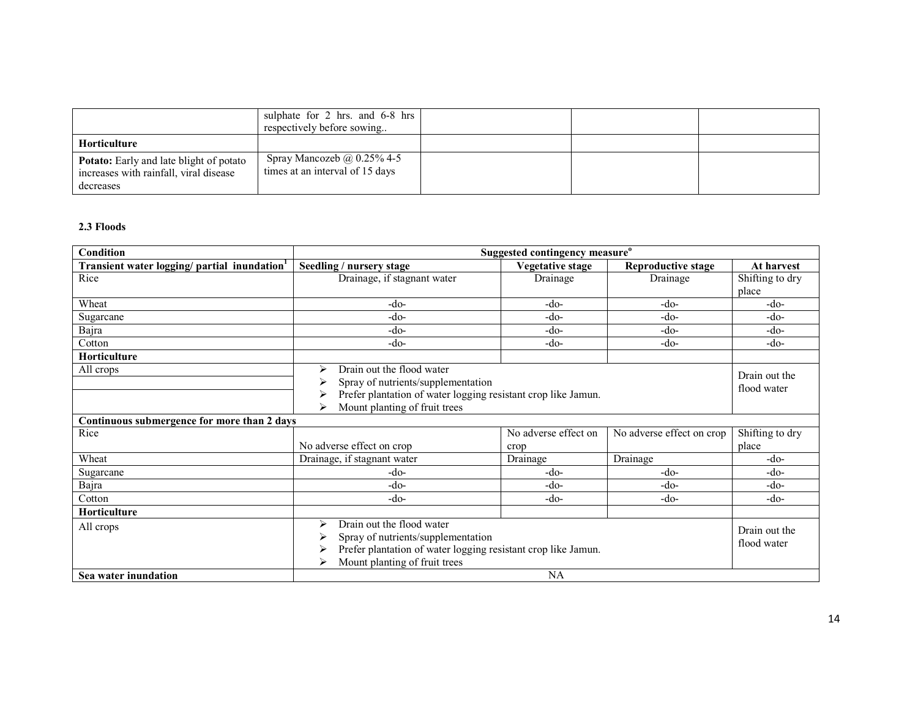|                                                                                                       | sulphate for 2 hrs. and 6-8 hrs<br>respectively before sowing        |  |  |
|-------------------------------------------------------------------------------------------------------|----------------------------------------------------------------------|--|--|
| Horticulture                                                                                          |                                                                      |  |  |
| <b>Potato:</b> Early and late blight of potato<br>increases with rainfall, viral disease<br>decreases | Spray Mancozeb $\omega$ 0.25% 4-5<br>times at an interval of 15 days |  |  |

## 2.3 Floods

| Condition                                               | Suggested contingency measure <sup>o</sup>                                                                                                                                               |                              |                           |                              |  |
|---------------------------------------------------------|------------------------------------------------------------------------------------------------------------------------------------------------------------------------------------------|------------------------------|---------------------------|------------------------------|--|
| Transient water logging/partial inundation <sup>1</sup> | Seedling / nursery stage                                                                                                                                                                 | Vegetative stage             | Reproductive stage        | At harvest                   |  |
| Rice                                                    | Drainage, if stagnant water                                                                                                                                                              | Drainage                     | Drainage                  | Shifting to dry<br>place     |  |
| Wheat                                                   | -do-                                                                                                                                                                                     | $-do-$                       | $-do-$                    | -do-                         |  |
| Sugarcane                                               | -do-                                                                                                                                                                                     | -do-                         | $-do-$                    | $-do-$                       |  |
| Bajra                                                   | $-do-$                                                                                                                                                                                   | -do-                         | $-do-$                    | -do-                         |  |
| Cotton                                                  | $-do-$                                                                                                                                                                                   | -do-                         | $-do-$                    | -do-                         |  |
| <b>Horticulture</b>                                     |                                                                                                                                                                                          |                              |                           |                              |  |
| All crops                                               | Drain out the flood water<br>↘<br>Spray of nutrients/supplementation<br>Prefer plantation of water logging resistant crop like Jamun.<br>Mount planting of fruit trees                   |                              |                           | Drain out the<br>flood water |  |
| Continuous submergence for more than 2 days             |                                                                                                                                                                                          |                              |                           |                              |  |
| Rice                                                    | No adverse effect on crop                                                                                                                                                                | No adverse effect on<br>crop | No adverse effect on crop | Shifting to dry<br>place     |  |
| Wheat                                                   | Drainage, if stagnant water                                                                                                                                                              | Drainage                     | Drainage                  | $-do-$                       |  |
| Sugarcane                                               | -do-                                                                                                                                                                                     | -do-                         | $-do-$                    | -do-                         |  |
| Bajra                                                   | $-do-$                                                                                                                                                                                   | -do-                         | $-do-$                    | $-do-$                       |  |
| Cotton                                                  | $-do-$                                                                                                                                                                                   | -do-                         | $-do-$                    | -do-                         |  |
| Horticulture                                            |                                                                                                                                                                                          |                              |                           |                              |  |
| All crops<br>Sea water inundation                       | Drain out the flood water<br>⋗<br>Spray of nutrients/supplementation<br>Prefer plantation of water logging resistant crop like Jamun.<br>Mount planting of fruit trees<br>⋗<br><b>NA</b> |                              |                           |                              |  |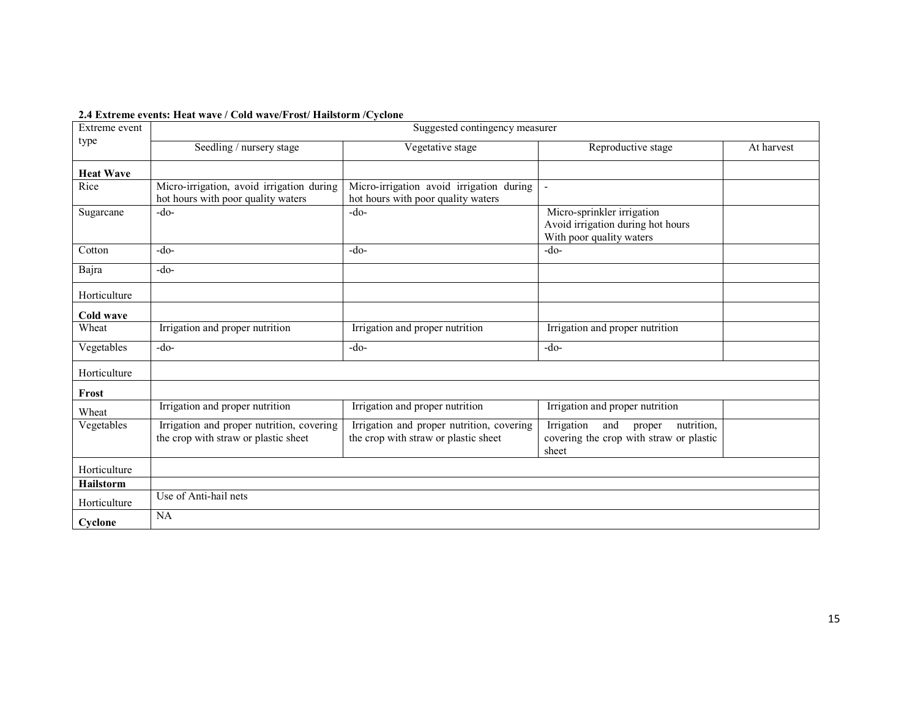|  |  |  |  | 2.4 Extreme events: Heat wave / Cold wave/Frost/ Hailstorm / Cyclone |
|--|--|--|--|----------------------------------------------------------------------|
|--|--|--|--|----------------------------------------------------------------------|

| Extreme event    | Suggested contingency measurer                                                    |                                                                                   |                                                                                               |            |  |  |
|------------------|-----------------------------------------------------------------------------------|-----------------------------------------------------------------------------------|-----------------------------------------------------------------------------------------------|------------|--|--|
| type             | Seedling / nursery stage                                                          | Vegetative stage                                                                  | Reproductive stage                                                                            | At harvest |  |  |
| <b>Heat Wave</b> |                                                                                   |                                                                                   |                                                                                               |            |  |  |
| Rice             | Micro-irrigation, avoid irrigation during<br>hot hours with poor quality waters   | Micro-irrigation avoid irrigation during<br>hot hours with poor quality waters    | $\blacksquare$                                                                                |            |  |  |
| Sugarcane        | $-do-$                                                                            | $-do-$                                                                            | Micro-sprinkler irrigation<br>Avoid irrigation during hot hours<br>With poor quality waters   |            |  |  |
| Cotton           | $-do-$                                                                            | $-do-$                                                                            | $-do-$                                                                                        |            |  |  |
| Bajra            | $-do-$                                                                            |                                                                                   |                                                                                               |            |  |  |
| Horticulture     |                                                                                   |                                                                                   |                                                                                               |            |  |  |
| Cold wave        |                                                                                   |                                                                                   |                                                                                               |            |  |  |
| Wheat            | Irrigation and proper nutrition                                                   | Irrigation and proper nutrition                                                   | Irrigation and proper nutrition                                                               |            |  |  |
| Vegetables       | $-do-$                                                                            | $-do-$                                                                            | $-do-$                                                                                        |            |  |  |
| Horticulture     |                                                                                   |                                                                                   |                                                                                               |            |  |  |
| Frost            |                                                                                   |                                                                                   |                                                                                               |            |  |  |
| Wheat            | Irrigation and proper nutrition                                                   | Irrigation and proper nutrition                                                   | Irrigation and proper nutrition                                                               |            |  |  |
| Vegetables       | Irrigation and proper nutrition, covering<br>the crop with straw or plastic sheet | Irrigation and proper nutrition, covering<br>the crop with straw or plastic sheet | Irrigation<br>and<br>nutrition,<br>proper<br>covering the crop with straw or plastic<br>sheet |            |  |  |
| Horticulture     |                                                                                   |                                                                                   |                                                                                               |            |  |  |
| <b>Hailstorm</b> |                                                                                   |                                                                                   |                                                                                               |            |  |  |
| Horticulture     | Use of Anti-hail nets                                                             |                                                                                   |                                                                                               |            |  |  |
| Cyclone          | NA                                                                                |                                                                                   |                                                                                               |            |  |  |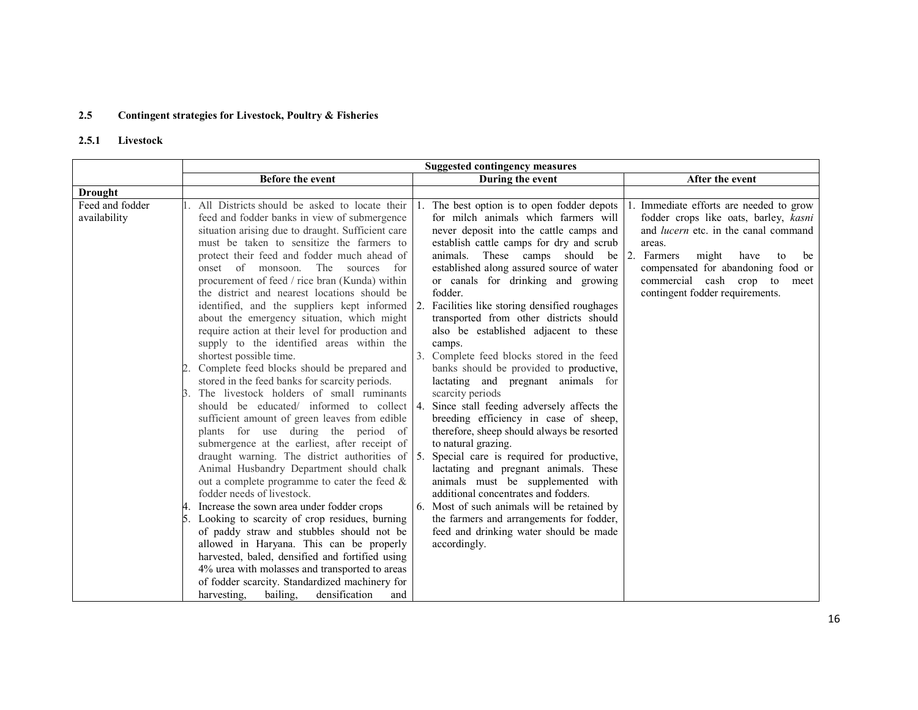#### 2.5Contingent strategies for Livestock, Poultry & Fisheries

#### 2.5.1Livestock

|                                                                                                                                                                                                                                                                                                                                                                                                                                                                                                                                                                                                                                                                                                                                                                                                                                                                                                                                                                                                                                                                                                                                                                                                                                                                                                                                     | <b>Suggested contingency measures</b>                                                                                                                                                                                                                                                                                                                                                                                                                                                                                                                                                                                                                                                                                                                                                                                                                                                                                                                                                                                                                                                           |                                                                                                                                                                                                                                                                                                  |
|-------------------------------------------------------------------------------------------------------------------------------------------------------------------------------------------------------------------------------------------------------------------------------------------------------------------------------------------------------------------------------------------------------------------------------------------------------------------------------------------------------------------------------------------------------------------------------------------------------------------------------------------------------------------------------------------------------------------------------------------------------------------------------------------------------------------------------------------------------------------------------------------------------------------------------------------------------------------------------------------------------------------------------------------------------------------------------------------------------------------------------------------------------------------------------------------------------------------------------------------------------------------------------------------------------------------------------------|-------------------------------------------------------------------------------------------------------------------------------------------------------------------------------------------------------------------------------------------------------------------------------------------------------------------------------------------------------------------------------------------------------------------------------------------------------------------------------------------------------------------------------------------------------------------------------------------------------------------------------------------------------------------------------------------------------------------------------------------------------------------------------------------------------------------------------------------------------------------------------------------------------------------------------------------------------------------------------------------------------------------------------------------------------------------------------------------------|--------------------------------------------------------------------------------------------------------------------------------------------------------------------------------------------------------------------------------------------------------------------------------------------------|
| <b>Before the event</b>                                                                                                                                                                                                                                                                                                                                                                                                                                                                                                                                                                                                                                                                                                                                                                                                                                                                                                                                                                                                                                                                                                                                                                                                                                                                                                             | During the event                                                                                                                                                                                                                                                                                                                                                                                                                                                                                                                                                                                                                                                                                                                                                                                                                                                                                                                                                                                                                                                                                | After the event                                                                                                                                                                                                                                                                                  |
|                                                                                                                                                                                                                                                                                                                                                                                                                                                                                                                                                                                                                                                                                                                                                                                                                                                                                                                                                                                                                                                                                                                                                                                                                                                                                                                                     |                                                                                                                                                                                                                                                                                                                                                                                                                                                                                                                                                                                                                                                                                                                                                                                                                                                                                                                                                                                                                                                                                                 |                                                                                                                                                                                                                                                                                                  |
| All Districts should be asked to locate their<br>feed and fodder banks in view of submergence<br>situation arising due to draught. Sufficient care<br>must be taken to sensitize the farmers to<br>protect their feed and fodder much ahead of<br>onset of monsoon.<br>The<br>sources for<br>procurement of feed / rice bran (Kunda) within<br>the district and nearest locations should be<br>about the emergency situation, which might<br>require action at their level for production and<br>supply to the identified areas within the<br>shortest possible time.<br>Complete feed blocks should be prepared and<br>stored in the feed banks for scarcity periods.<br>The livestock holders of small ruminants<br>sufficient amount of green leaves from edible<br>plants for use during the period of<br>submergence at the earliest, after receipt of<br>Animal Husbandry Department should chalk<br>out a complete programme to cater the feed &<br>fodder needs of livestock.<br>Increase the sown area under fodder crops<br>Looking to scarcity of crop residues, burning<br>of paddy straw and stubbles should not be<br>allowed in Haryana. This can be properly<br>harvested, baled, densified and fortified using<br>4% urea with molasses and transported to areas<br>of fodder scarcity. Standardized machinery for | The best option is to open fodder depots<br>for milch animals which farmers will<br>never deposit into the cattle camps and<br>establish cattle camps for dry and scrub<br>animals.<br>These camps should<br>be<br>established along assured source of water<br>or canals for drinking and growing<br>fodder.<br>Facilities like storing densified roughages<br>transported from other districts should<br>also be established adjacent to these<br>camps.<br>3. Complete feed blocks stored in the feed<br>banks should be provided to productive,<br>lactating and pregnant animals for<br>scarcity periods<br>Since stall feeding adversely affects the<br>breeding efficiency in case of sheep,<br>therefore, sheep should always be resorted<br>to natural grazing.<br>Special care is required for productive,<br>lactating and pregnant animals. These<br>animals must be supplemented with<br>additional concentrates and fodders.<br>6. Most of such animals will be retained by<br>the farmers and arrangements for fodder,<br>feed and drinking water should be made<br>accordingly. | Immediate efforts are needed to grow<br>fodder crops like oats, barley, kasni<br>and <i>lucern</i> etc. in the canal command<br>areas.<br>2.<br>Farmers<br>might<br>have<br>be<br>to<br>compensated for abandoning food or<br>commercial cash crop to<br>meet<br>contingent fodder requirements. |
|                                                                                                                                                                                                                                                                                                                                                                                                                                                                                                                                                                                                                                                                                                                                                                                                                                                                                                                                                                                                                                                                                                                                                                                                                                                                                                                                     | harvesting,<br>bailing.<br>densification<br>and                                                                                                                                                                                                                                                                                                                                                                                                                                                                                                                                                                                                                                                                                                                                                                                                                                                                                                                                                                                                                                                 | identified, and the suppliers kept informed 2.<br>should be educated/ informed to collect 4.<br>draught warning. The district authorities of $\vert$ 5.                                                                                                                                          |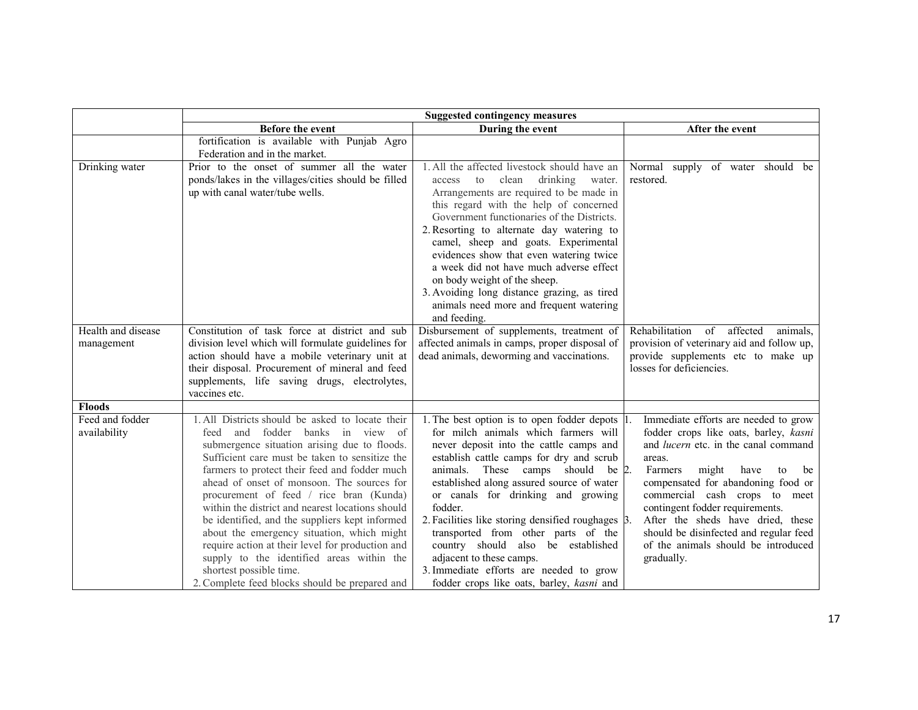|                                  | <b>Suggested contingency measures</b>                                                                                                                                                                                                                                                                                                                                                                                                                                                                                                                                                                                                                                    |                                                                                                                                                                                                                                                                                                                                                                                                                                                                                                                                                                           |                                                                                                                                                                                                                                                                                                                                                                                                                              |
|----------------------------------|--------------------------------------------------------------------------------------------------------------------------------------------------------------------------------------------------------------------------------------------------------------------------------------------------------------------------------------------------------------------------------------------------------------------------------------------------------------------------------------------------------------------------------------------------------------------------------------------------------------------------------------------------------------------------|---------------------------------------------------------------------------------------------------------------------------------------------------------------------------------------------------------------------------------------------------------------------------------------------------------------------------------------------------------------------------------------------------------------------------------------------------------------------------------------------------------------------------------------------------------------------------|------------------------------------------------------------------------------------------------------------------------------------------------------------------------------------------------------------------------------------------------------------------------------------------------------------------------------------------------------------------------------------------------------------------------------|
|                                  | Before the event                                                                                                                                                                                                                                                                                                                                                                                                                                                                                                                                                                                                                                                         | During the event                                                                                                                                                                                                                                                                                                                                                                                                                                                                                                                                                          | After the event                                                                                                                                                                                                                                                                                                                                                                                                              |
|                                  | fortification is available with Punjab Agro<br>Federation and in the market.                                                                                                                                                                                                                                                                                                                                                                                                                                                                                                                                                                                             |                                                                                                                                                                                                                                                                                                                                                                                                                                                                                                                                                                           |                                                                                                                                                                                                                                                                                                                                                                                                                              |
| Drinking water                   | Prior to the onset of summer all the water<br>ponds/lakes in the villages/cities should be filled<br>up with canal water/tube wells.                                                                                                                                                                                                                                                                                                                                                                                                                                                                                                                                     | 1. All the affected livestock should have an<br>clean drinking<br>to<br>water.<br>access<br>Arrangements are required to be made in<br>this regard with the help of concerned<br>Government functionaries of the Districts.<br>2. Resorting to alternate day watering to<br>camel, sheep and goats. Experimental<br>evidences show that even watering twice<br>a week did not have much adverse effect<br>on body weight of the sheep.<br>3. Avoiding long distance grazing, as tired<br>animals need more and frequent watering<br>and feeding.                          | Normal supply of water should be<br>restored.                                                                                                                                                                                                                                                                                                                                                                                |
| Health and disease<br>management | Constitution of task force at district and sub<br>division level which will formulate guidelines for<br>action should have a mobile veterinary unit at<br>their disposal. Procurement of mineral and feed<br>supplements, life saving drugs, electrolytes,<br>vaccines etc.                                                                                                                                                                                                                                                                                                                                                                                              | Disbursement of supplements, treatment of<br>affected animals in camps, proper disposal of<br>dead animals, deworming and vaccinations.                                                                                                                                                                                                                                                                                                                                                                                                                                   | of<br>affected<br>Rehabilitation<br>animals,<br>provision of veterinary aid and follow up,<br>provide supplements etc to make up<br>losses for deficiencies.                                                                                                                                                                                                                                                                 |
| <b>Floods</b>                    |                                                                                                                                                                                                                                                                                                                                                                                                                                                                                                                                                                                                                                                                          |                                                                                                                                                                                                                                                                                                                                                                                                                                                                                                                                                                           |                                                                                                                                                                                                                                                                                                                                                                                                                              |
| Feed and fodder<br>availability  | 1. All Districts should be asked to locate their<br>and fodder<br>banks in view of<br>feed<br>submergence situation arising due to floods.<br>Sufficient care must be taken to sensitize the<br>farmers to protect their feed and fodder much<br>ahead of onset of monsoon. The sources for<br>procurement of feed / rice bran (Kunda)<br>within the district and nearest locations should<br>be identified, and the suppliers kept informed<br>about the emergency situation, which might<br>require action at their level for production and<br>supply to the identified areas within the<br>shortest possible time.<br>2. Complete feed blocks should be prepared and | 1. The best option is to open fodder depots 1.<br>for milch animals which farmers will<br>never deposit into the cattle camps and<br>establish cattle camps for dry and scrub<br>These camps should be 2.<br>animals.<br>established along assured source of water<br>or canals for drinking and growing<br>fodder.<br>2. Facilities like storing densified roughages 3.<br>transported from other parts of the<br>country should also be established<br>adjacent to these camps.<br>3. Immediate efforts are needed to grow<br>fodder crops like oats, barley, kasni and | Immediate efforts are needed to grow<br>fodder crops like oats, barley, kasni<br>and <i>lucern</i> etc. in the canal command<br>areas.<br>Farmers<br>might<br>have<br>be<br>to<br>compensated for abandoning food or<br>commercial cash crops to meet<br>contingent fodder requirements.<br>After the sheds have dried, these<br>should be disinfected and regular feed<br>of the animals should be introduced<br>gradually. |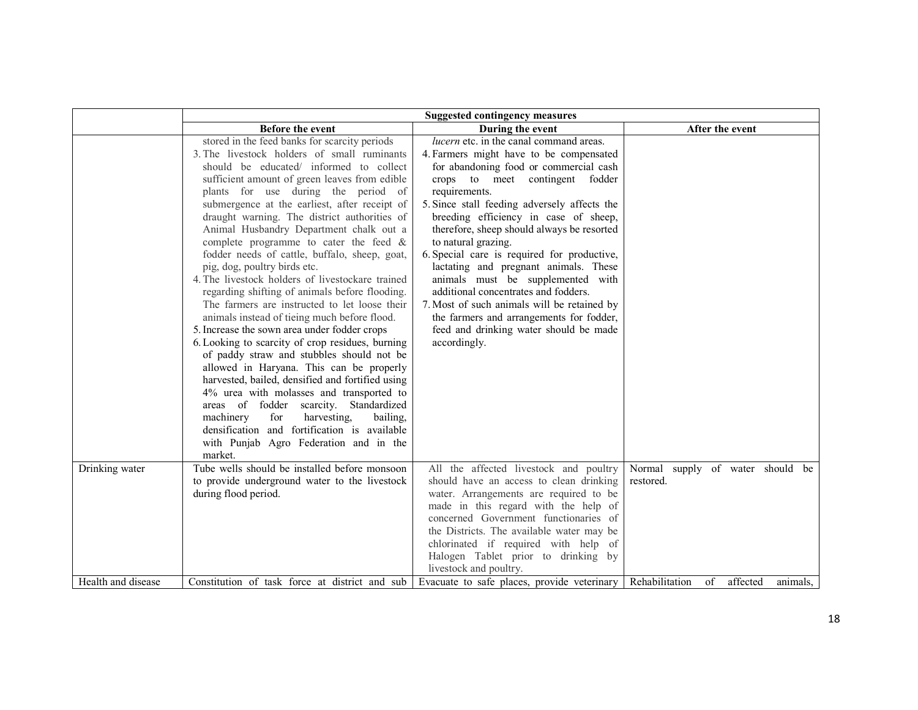|                    | <b>Suggested contingency measures</b>                                                                                                                                                                                                                                                                                                                                                                                                                                                                                                                                                                                                                                                                                                                                                                                                                                                                                                                                                                                                                                                                                                                                                                       |                                                                                                                                                                                                                                                                                                                                                                                                                                                                                                                                                                                                                                                                                 |                                                  |  |
|--------------------|-------------------------------------------------------------------------------------------------------------------------------------------------------------------------------------------------------------------------------------------------------------------------------------------------------------------------------------------------------------------------------------------------------------------------------------------------------------------------------------------------------------------------------------------------------------------------------------------------------------------------------------------------------------------------------------------------------------------------------------------------------------------------------------------------------------------------------------------------------------------------------------------------------------------------------------------------------------------------------------------------------------------------------------------------------------------------------------------------------------------------------------------------------------------------------------------------------------|---------------------------------------------------------------------------------------------------------------------------------------------------------------------------------------------------------------------------------------------------------------------------------------------------------------------------------------------------------------------------------------------------------------------------------------------------------------------------------------------------------------------------------------------------------------------------------------------------------------------------------------------------------------------------------|--------------------------------------------------|--|
|                    | Before the event                                                                                                                                                                                                                                                                                                                                                                                                                                                                                                                                                                                                                                                                                                                                                                                                                                                                                                                                                                                                                                                                                                                                                                                            | During the event                                                                                                                                                                                                                                                                                                                                                                                                                                                                                                                                                                                                                                                                | After the event                                  |  |
|                    | stored in the feed banks for scarcity periods<br>3. The livestock holders of small ruminants<br>should be educated/ informed to collect<br>sufficient amount of green leaves from edible<br>plants for use during the period of<br>submergence at the earliest, after receipt of<br>draught warning. The district authorities of<br>Animal Husbandry Department chalk out a<br>complete programme to cater the feed $\&$<br>fodder needs of cattle, buffalo, sheep, goat,<br>pig, dog, poultry birds etc.<br>4. The livestock holders of livestockare trained<br>regarding shifting of animals before flooding.<br>The farmers are instructed to let loose their<br>animals instead of tieing much before flood.<br>5. Increase the sown area under fodder crops<br>6. Looking to scarcity of crop residues, burning<br>of paddy straw and stubbles should not be<br>allowed in Haryana. This can be properly<br>harvested, bailed, densified and fortified using<br>4% urea with molasses and transported to<br>areas of fodder scarcity. Standardized<br>harvesting.<br>machinery<br>for<br>bailing.<br>densification and fortification is available<br>with Punjab Agro Federation and in the<br>market. | <i>lucern</i> etc. in the canal command areas.<br>4. Farmers might have to be compensated<br>for abandoning food or commercial cash<br>crops to meet contingent fodder<br>requirements.<br>5. Since stall feeding adversely affects the<br>breeding efficiency in case of sheep,<br>therefore, sheep should always be resorted<br>to natural grazing.<br>6. Special care is required for productive,<br>lactating and pregnant animals. These<br>animals must be supplemented with<br>additional concentrates and fodders.<br>7. Most of such animals will be retained by<br>the farmers and arrangements for fodder,<br>feed and drinking water should be made<br>accordingly. |                                                  |  |
| Drinking water     | Tube wells should be installed before monsoon<br>to provide underground water to the livestock<br>during flood period.                                                                                                                                                                                                                                                                                                                                                                                                                                                                                                                                                                                                                                                                                                                                                                                                                                                                                                                                                                                                                                                                                      | All the affected livestock and poultry<br>should have an access to clean drinking<br>water. Arrangements are required to be<br>made in this regard with the help of<br>concerned Government functionaries of<br>the Districts. The available water may be<br>chlorinated if required with help of<br>Halogen Tablet prior to drinking by                                                                                                                                                                                                                                                                                                                                        | Normal<br>supply of water should be<br>restored. |  |
| Health and disease | Constitution of task force at district and sub-                                                                                                                                                                                                                                                                                                                                                                                                                                                                                                                                                                                                                                                                                                                                                                                                                                                                                                                                                                                                                                                                                                                                                             | livestock and poultry.<br>Evacuate to safe places, provide veterinary                                                                                                                                                                                                                                                                                                                                                                                                                                                                                                                                                                                                           | Rehabilitation<br>of<br>affected<br>animals.     |  |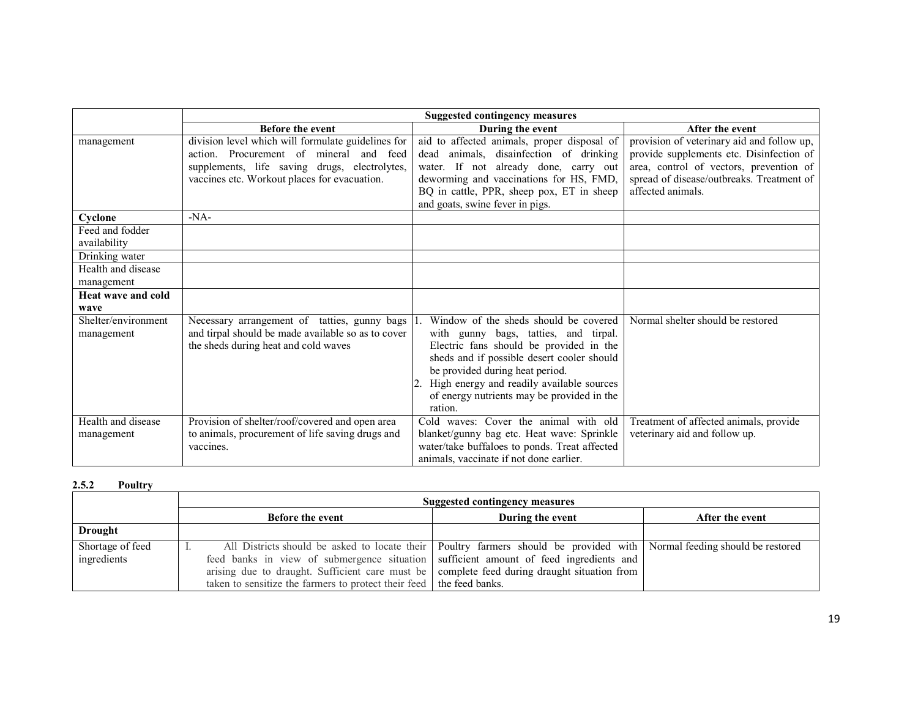|                                   | <b>Suggested contingency measures</b>                                                                                                                                                          |                                                                                                                                                                                                                                                                                                                  |                                                                                                                                                                                                     |
|-----------------------------------|------------------------------------------------------------------------------------------------------------------------------------------------------------------------------------------------|------------------------------------------------------------------------------------------------------------------------------------------------------------------------------------------------------------------------------------------------------------------------------------------------------------------|-----------------------------------------------------------------------------------------------------------------------------------------------------------------------------------------------------|
|                                   | <b>Before the event</b>                                                                                                                                                                        | During the event                                                                                                                                                                                                                                                                                                 | After the event                                                                                                                                                                                     |
| management                        | division level which will formulate guidelines for<br>action. Procurement of mineral and feed<br>supplements, life saving drugs, electrolytes,<br>vaccines etc. Workout places for evacuation. | aid to affected animals, proper disposal of<br>dead animals, disainfection of drinking<br>water. If not already done, carry out<br>deworming and vaccinations for HS, FMD,<br>BQ in cattle, PPR, sheep pox, ET in sheep<br>and goats, swine fever in pigs.                                                       | provision of veterinary aid and follow up,<br>provide supplements etc. Disinfection of<br>area, control of vectors, prevention of<br>spread of disease/outbreaks. Treatment of<br>affected animals. |
| Cyclone                           | $-NA-$                                                                                                                                                                                         |                                                                                                                                                                                                                                                                                                                  |                                                                                                                                                                                                     |
| Feed and fodder<br>availability   |                                                                                                                                                                                                |                                                                                                                                                                                                                                                                                                                  |                                                                                                                                                                                                     |
| Drinking water                    |                                                                                                                                                                                                |                                                                                                                                                                                                                                                                                                                  |                                                                                                                                                                                                     |
| Health and disease<br>management  |                                                                                                                                                                                                |                                                                                                                                                                                                                                                                                                                  |                                                                                                                                                                                                     |
| <b>Heat wave and cold</b>         |                                                                                                                                                                                                |                                                                                                                                                                                                                                                                                                                  |                                                                                                                                                                                                     |
| wave                              |                                                                                                                                                                                                |                                                                                                                                                                                                                                                                                                                  |                                                                                                                                                                                                     |
| Shelter/environment<br>management | Necessary arrangement of tatties, gunny bags<br>and tirpal should be made available so as to cover<br>the sheds during heat and cold waves                                                     | Window of the sheds should be covered<br>with gunny bags, tatties, and tirpal.<br>Electric fans should be provided in the<br>sheds and if possible desert cooler should<br>be provided during heat period.<br>High energy and readily available sources<br>of energy nutrients may be provided in the<br>ration. | Normal shelter should be restored                                                                                                                                                                   |
| Health and disease<br>management  | Provision of shelter/roof/covered and open area<br>to animals, procurement of life saving drugs and<br>vaccines.                                                                               | Cold waves: Cover the animal with old<br>blanket/gunny bag etc. Heat wave: Sprinkle<br>water/take buffaloes to ponds. Treat affected<br>animals, vaccinate if not done earlier.                                                                                                                                  | Treatment of affected animals, provide<br>veterinary aid and follow up.                                                                                                                             |

#### 2.5.2Poultry

|                  | Suggested contingency measures                                                                      |                                                                                                                             |                 |
|------------------|-----------------------------------------------------------------------------------------------------|-----------------------------------------------------------------------------------------------------------------------------|-----------------|
|                  | <b>Before the event</b>                                                                             | During the event                                                                                                            | After the event |
| <b>Drought</b>   |                                                                                                     |                                                                                                                             |                 |
| Shortage of feed |                                                                                                     | All Districts should be asked to locate their   Poultry farmers should be provided with   Normal feeding should be restored |                 |
| ingredients      | feed banks in view of submergence situation sufficient amount of feed ingredients and               |                                                                                                                             |                 |
|                  | arising due to draught. Sufficient care must be $\vert$ complete feed during draught situation from |                                                                                                                             |                 |
|                  | taken to sensitize the farmers to protect their feed   the feed banks.                              |                                                                                                                             |                 |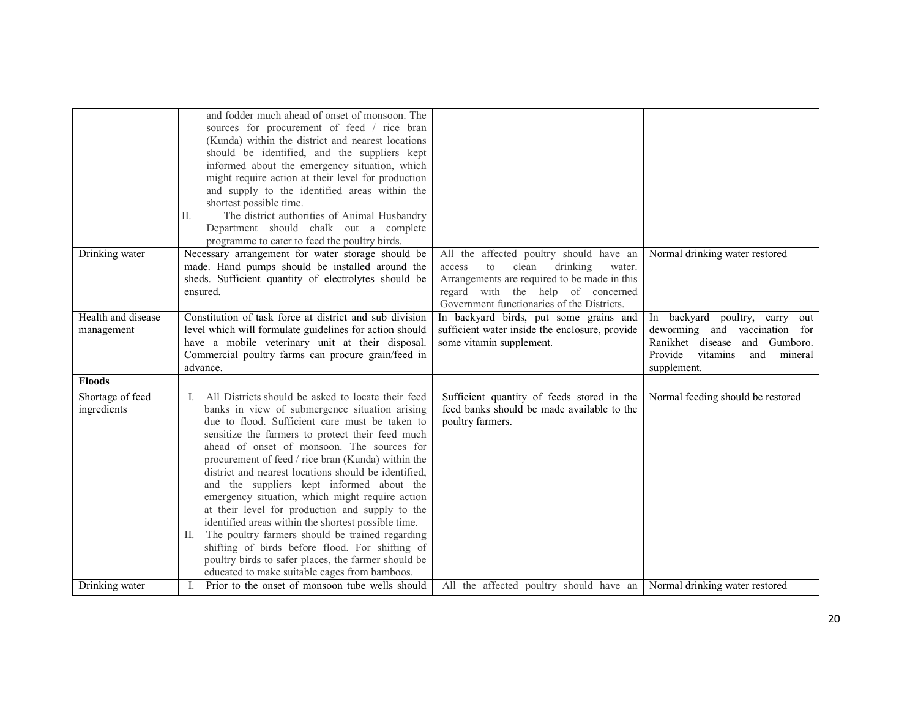|                                  | and fodder much ahead of onset of monsoon. The<br>sources for procurement of feed / rice bran<br>(Kunda) within the district and nearest locations<br>should be identified, and the suppliers kept<br>informed about the emergency situation, which<br>might require action at their level for production<br>and supply to the identified areas within the<br>shortest possible time.<br>The district authorities of Animal Husbandry<br>П.<br>Department should chalk out a complete<br>programme to cater to feed the poultry birds.                                                                                                                                                                                                                                                                   |                                                                                                                                                                                                                           |                                                                                                                                                                      |
|----------------------------------|----------------------------------------------------------------------------------------------------------------------------------------------------------------------------------------------------------------------------------------------------------------------------------------------------------------------------------------------------------------------------------------------------------------------------------------------------------------------------------------------------------------------------------------------------------------------------------------------------------------------------------------------------------------------------------------------------------------------------------------------------------------------------------------------------------|---------------------------------------------------------------------------------------------------------------------------------------------------------------------------------------------------------------------------|----------------------------------------------------------------------------------------------------------------------------------------------------------------------|
| Drinking water                   | Necessary arrangement for water storage should be<br>made. Hand pumps should be installed around the<br>sheds. Sufficient quantity of electrolytes should be<br>ensured.                                                                                                                                                                                                                                                                                                                                                                                                                                                                                                                                                                                                                                 | All the affected poultry should have an<br>drinking<br>clean<br>to<br>water.<br>access<br>Arrangements are required to be made in this<br>regard with the help of concerned<br>Government functionaries of the Districts. | Normal drinking water restored                                                                                                                                       |
| Health and disease<br>management | Constitution of task force at district and sub division<br>level which will formulate guidelines for action should<br>have a mobile veterinary unit at their disposal.<br>Commercial poultry farms can procure grain/feed in<br>advance.                                                                                                                                                                                                                                                                                                                                                                                                                                                                                                                                                                 | In backyard birds, put some grains and<br>sufficient water inside the enclosure, provide<br>some vitamin supplement.                                                                                                      | backyard poultry, carry<br>In<br>out<br>deworming and vaccination for<br>Ranikhet disease<br>and<br>Gumboro.<br>Provide<br>vitamins<br>and<br>mineral<br>supplement. |
| <b>Floods</b>                    |                                                                                                                                                                                                                                                                                                                                                                                                                                                                                                                                                                                                                                                                                                                                                                                                          |                                                                                                                                                                                                                           |                                                                                                                                                                      |
| Shortage of feed<br>ingredients  | All Districts should be asked to locate their feed<br>L.<br>banks in view of submergence situation arising<br>due to flood. Sufficient care must be taken to<br>sensitize the farmers to protect their feed much<br>ahead of onset of monsoon. The sources for<br>procurement of feed / rice bran (Kunda) within the<br>district and nearest locations should be identified,<br>and the suppliers kept informed about the<br>emergency situation, which might require action<br>at their level for production and supply to the<br>identified areas within the shortest possible time.<br>II. The poultry farmers should be trained regarding<br>shifting of birds before flood. For shifting of<br>poultry birds to safer places, the farmer should be<br>educated to make suitable cages from bamboos. | Sufficient quantity of feeds stored in the<br>feed banks should be made available to the<br>poultry farmers.                                                                                                              | Normal feeding should be restored                                                                                                                                    |
| Drinking water                   | Prior to the onset of monsoon tube wells should                                                                                                                                                                                                                                                                                                                                                                                                                                                                                                                                                                                                                                                                                                                                                          | All the affected poultry should have an                                                                                                                                                                                   | Normal drinking water restored                                                                                                                                       |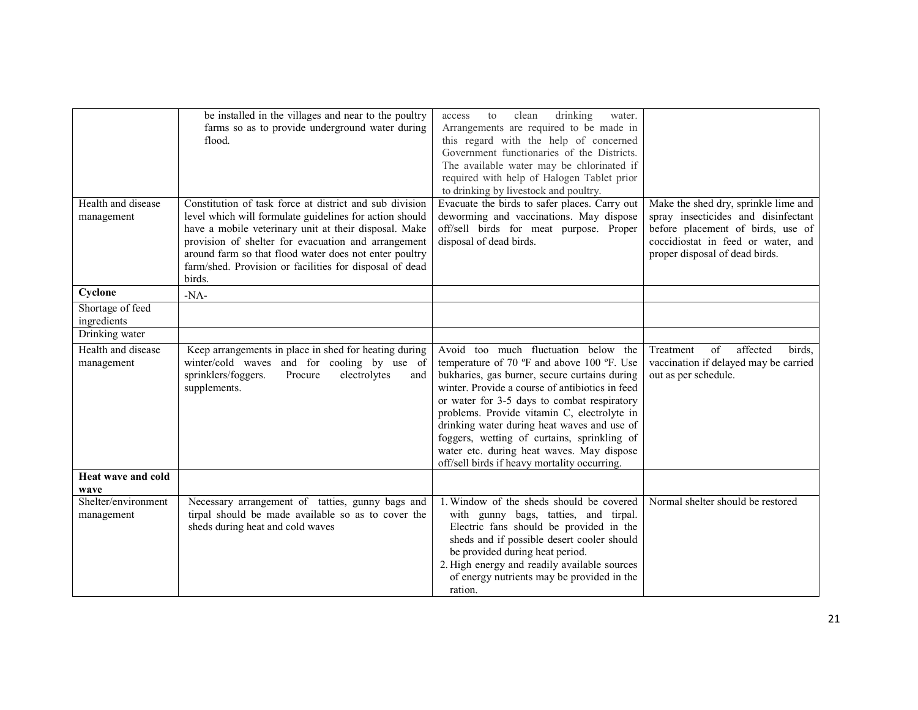|                     | be installed in the villages and near to the poultry    | drinking<br>clean<br>water.<br>to<br>access     |                                       |
|---------------------|---------------------------------------------------------|-------------------------------------------------|---------------------------------------|
|                     | farms so as to provide underground water during         | Arrangements are required to be made in         |                                       |
|                     | flood.                                                  | this regard with the help of concerned          |                                       |
|                     |                                                         | Government functionaries of the Districts.      |                                       |
|                     |                                                         | The available water may be chlorinated if       |                                       |
|                     |                                                         | required with help of Halogen Tablet prior      |                                       |
|                     |                                                         | to drinking by livestock and poultry.           |                                       |
| Health and disease  | Constitution of task force at district and sub division | Evacuate the birds to safer places. Carry out   | Make the shed dry, sprinkle lime and  |
| management          | level which will formulate guidelines for action should | deworming and vaccinations. May dispose         | spray insecticides and disinfectant   |
|                     | have a mobile veterinary unit at their disposal. Make   | off/sell birds for meat purpose. Proper         | before placement of birds, use of     |
|                     | provision of shelter for evacuation and arrangement     | disposal of dead birds.                         | coccidiostat in feed or water, and    |
|                     | around farm so that flood water does not enter poultry  |                                                 | proper disposal of dead birds.        |
|                     | farm/shed. Provision or facilities for disposal of dead |                                                 |                                       |
|                     | birds.                                                  |                                                 |                                       |
| Cyclone             | $-NA-$                                                  |                                                 |                                       |
| Shortage of feed    |                                                         |                                                 |                                       |
| ingredients         |                                                         |                                                 |                                       |
| Drinking water      |                                                         |                                                 |                                       |
|                     |                                                         |                                                 |                                       |
| Health and disease  | Keep arrangements in place in shed for heating during   | Avoid too much fluctuation below the            | affected<br>Treatment<br>of<br>birds, |
| management          | winter/cold waves and for cooling by use of             | temperature of 70 °F and above 100 °F. Use      | vaccination if delayed may be carried |
|                     | electrolytes<br>sprinklers/foggers.<br>Procure<br>and   | bukharies, gas burner, secure curtains during   | out as per schedule.                  |
|                     | supplements.                                            | winter. Provide a course of antibiotics in feed |                                       |
|                     |                                                         | or water for 3-5 days to combat respiratory     |                                       |
|                     |                                                         | problems. Provide vitamin C, electrolyte in     |                                       |
|                     |                                                         | drinking water during heat waves and use of     |                                       |
|                     |                                                         | foggers, wetting of curtains, sprinkling of     |                                       |
|                     |                                                         | water etc. during heat waves. May dispose       |                                       |
|                     |                                                         | off/sell birds if heavy mortality occurring.    |                                       |
| Heat wave and cold  |                                                         |                                                 |                                       |
| wave                |                                                         |                                                 |                                       |
| Shelter/environment | Necessary arrangement of tatties, gunny bags and        | 1. Window of the sheds should be covered        | Normal shelter should be restored     |
| management          | tirpal should be made available so as to cover the      | with gunny bags, tatties, and tirpal.           |                                       |
|                     | sheds during heat and cold waves                        | Electric fans should be provided in the         |                                       |
|                     |                                                         | sheds and if possible desert cooler should      |                                       |
|                     |                                                         | be provided during heat period.                 |                                       |
|                     |                                                         | 2. High energy and readily available sources    |                                       |
|                     |                                                         | of energy nutrients may be provided in the      |                                       |
|                     |                                                         | ration.                                         |                                       |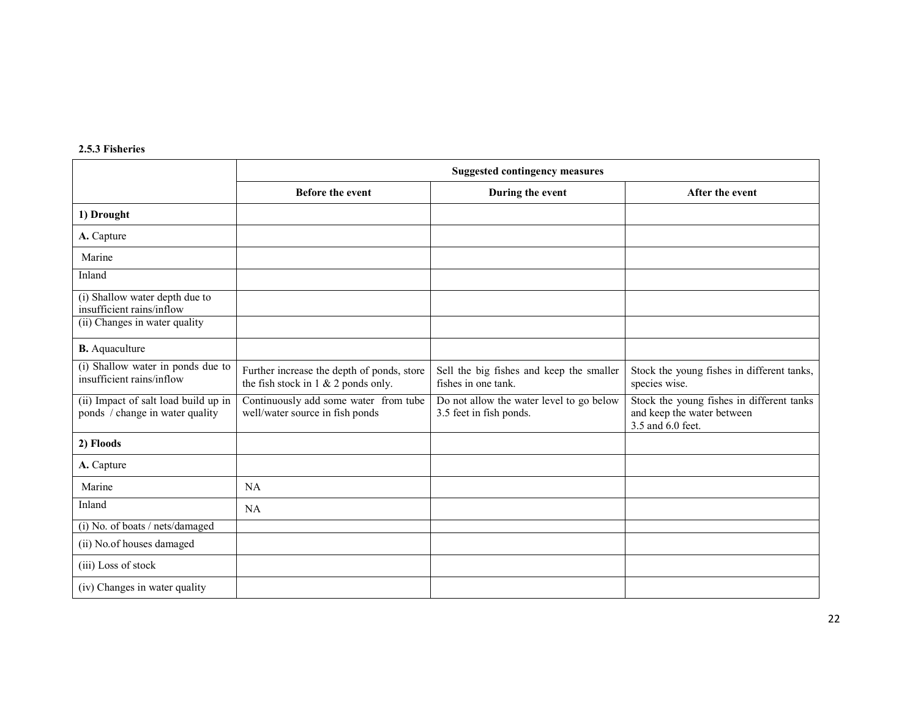| 2.5.3 Fisheries |  |
|-----------------|--|
|                 |  |

|                                                                         | <b>Suggested contingency measures</b>                                                |                                                                     |                                                                                              |
|-------------------------------------------------------------------------|--------------------------------------------------------------------------------------|---------------------------------------------------------------------|----------------------------------------------------------------------------------------------|
|                                                                         | <b>Before the event</b>                                                              | During the event                                                    | After the event                                                                              |
| 1) Drought                                                              |                                                                                      |                                                                     |                                                                                              |
| A. Capture                                                              |                                                                                      |                                                                     |                                                                                              |
| Marine                                                                  |                                                                                      |                                                                     |                                                                                              |
| Inland                                                                  |                                                                                      |                                                                     |                                                                                              |
| (i) Shallow water depth due to<br>insufficient rains/inflow             |                                                                                      |                                                                     |                                                                                              |
| (ii) Changes in water quality                                           |                                                                                      |                                                                     |                                                                                              |
| <b>B.</b> Aquaculture                                                   |                                                                                      |                                                                     |                                                                                              |
| (i) Shallow water in ponds due to<br>insufficient rains/inflow          | Further increase the depth of ponds, store<br>the fish stock in $1 \& 2$ ponds only. | Sell the big fishes and keep the smaller<br>fishes in one tank.     | Stock the young fishes in different tanks,<br>species wise.                                  |
| (ii) Impact of salt load build up in<br>ponds / change in water quality | Continuously add some water from tube<br>well/water source in fish ponds             | Do not allow the water level to go below<br>3.5 feet in fish ponds. | Stock the young fishes in different tanks<br>and keep the water between<br>3.5 and 6.0 feet. |
| 2) Floods                                                               |                                                                                      |                                                                     |                                                                                              |
| A. Capture                                                              |                                                                                      |                                                                     |                                                                                              |
| Marine                                                                  | NA                                                                                   |                                                                     |                                                                                              |
| Inland                                                                  | <b>NA</b>                                                                            |                                                                     |                                                                                              |
| (i) No. of boats / nets/damaged                                         |                                                                                      |                                                                     |                                                                                              |
| (ii) No.of houses damaged                                               |                                                                                      |                                                                     |                                                                                              |
| (iii) Loss of stock                                                     |                                                                                      |                                                                     |                                                                                              |
| (iv) Changes in water quality                                           |                                                                                      |                                                                     |                                                                                              |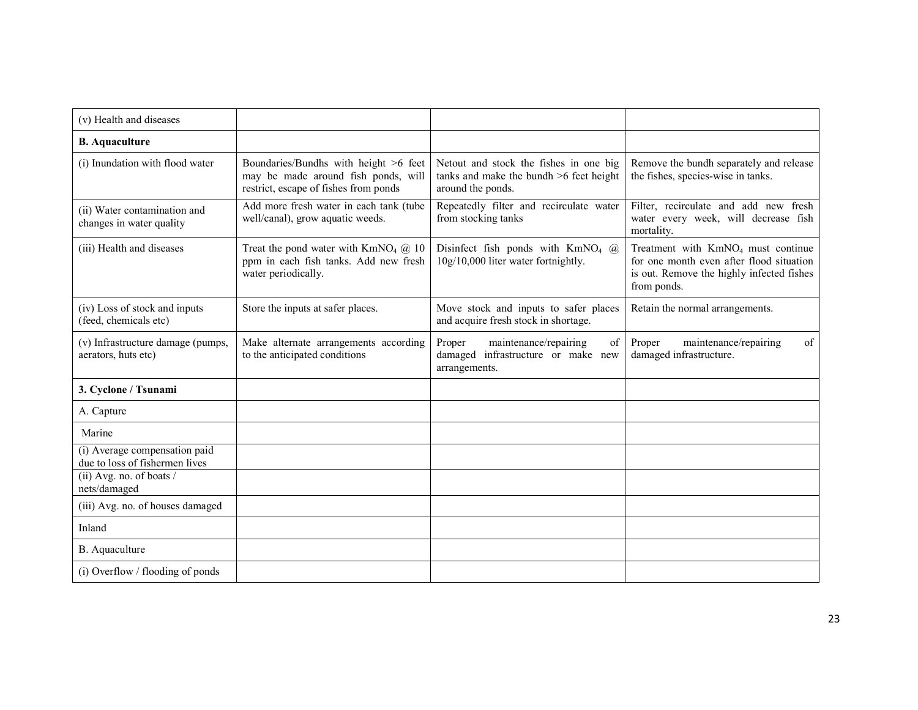| (v) Health and diseases                                         |                                                                                                                       |                                                                                                        |                                                                                                                                                        |
|-----------------------------------------------------------------|-----------------------------------------------------------------------------------------------------------------------|--------------------------------------------------------------------------------------------------------|--------------------------------------------------------------------------------------------------------------------------------------------------------|
| <b>B.</b> Aquaculture                                           |                                                                                                                       |                                                                                                        |                                                                                                                                                        |
| (i) Inundation with flood water                                 | Boundaries/Bundhs with height >6 feet<br>may be made around fish ponds, will<br>restrict, escape of fishes from ponds | Netout and stock the fishes in one big<br>tanks and make the bundh >6 feet height<br>around the ponds. | Remove the bundh separately and release<br>the fishes, species-wise in tanks.                                                                          |
| (ii) Water contamination and<br>changes in water quality        | Add more fresh water in each tank (tube<br>well/canal), grow aquatic weeds.                                           | Repeatedly filter and recirculate water<br>from stocking tanks                                         | Filter, recirculate and add new fresh<br>water every week, will decrease fish<br>mortality.                                                            |
| (iii) Health and diseases                                       | Treat the pond water with $KmNO4$ ( $\ddot{a}$ ) 10<br>ppm in each fish tanks. Add new fresh<br>water periodically.   | Disinfect fish ponds with $KmNO4$ (a)<br>10g/10,000 liter water fortnightly.                           | Treatment with KmNO <sub>4</sub> must continue<br>for one month even after flood situation<br>is out. Remove the highly infected fishes<br>from ponds. |
| (iv) Loss of stock and inputs<br>(feed, chemicals etc)          | Store the inputs at safer places.                                                                                     | Move stock and inputs to safer places<br>and acquire fresh stock in shortage.                          | Retain the normal arrangements.                                                                                                                        |
| (v) Infrastructure damage (pumps,<br>aerators, huts etc)        | Make alternate arrangements according<br>to the anticipated conditions                                                | maintenance/repairing<br>Proper<br>of<br>damaged infrastructure or make new<br>arrangements.           | of<br>Proper<br>maintenance/repairing<br>damaged infrastructure.                                                                                       |
| 3. Cyclone / Tsunami                                            |                                                                                                                       |                                                                                                        |                                                                                                                                                        |
| A. Capture                                                      |                                                                                                                       |                                                                                                        |                                                                                                                                                        |
| Marine                                                          |                                                                                                                       |                                                                                                        |                                                                                                                                                        |
| (i) Average compensation paid<br>due to loss of fishermen lives |                                                                                                                       |                                                                                                        |                                                                                                                                                        |
| (ii) Avg. no. of boats $\overline{\phantom{a}}$<br>nets/damaged |                                                                                                                       |                                                                                                        |                                                                                                                                                        |
| (iii) Avg. no. of houses damaged                                |                                                                                                                       |                                                                                                        |                                                                                                                                                        |
| Inland                                                          |                                                                                                                       |                                                                                                        |                                                                                                                                                        |
| B. Aquaculture                                                  |                                                                                                                       |                                                                                                        |                                                                                                                                                        |
| (i) Overflow / flooding of ponds                                |                                                                                                                       |                                                                                                        |                                                                                                                                                        |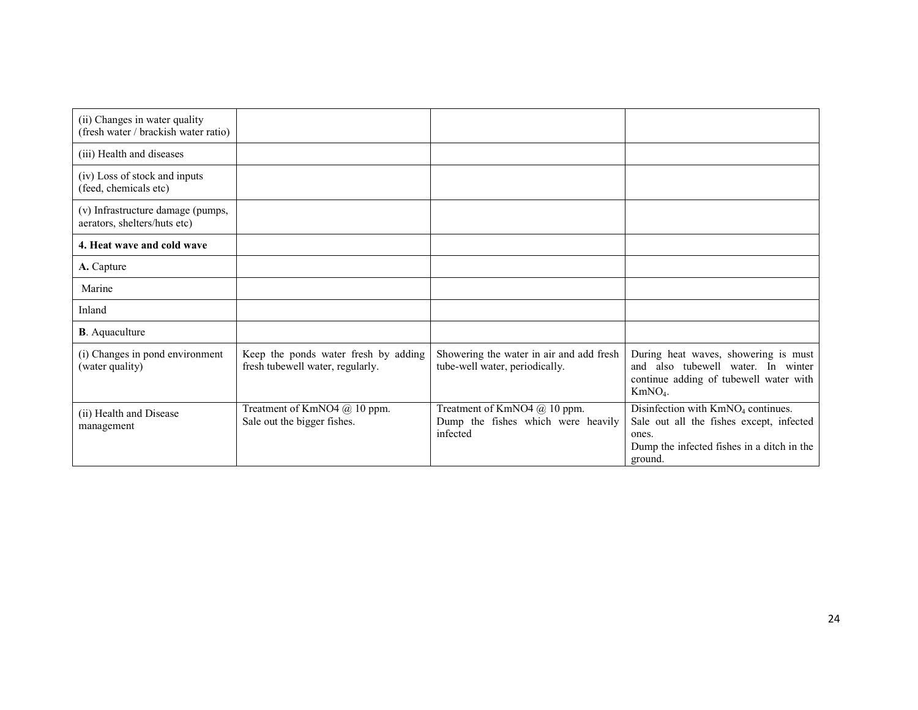| (ii) Changes in water quality<br>(fresh water / brackish water ratio) |                                                                          |                                                                                |                                                                                                                                                              |
|-----------------------------------------------------------------------|--------------------------------------------------------------------------|--------------------------------------------------------------------------------|--------------------------------------------------------------------------------------------------------------------------------------------------------------|
| (iii) Health and diseases                                             |                                                                          |                                                                                |                                                                                                                                                              |
| (iv) Loss of stock and inputs<br>(feed, chemicals etc)                |                                                                          |                                                                                |                                                                                                                                                              |
| (v) Infrastructure damage (pumps,<br>aerators, shelters/huts etc)     |                                                                          |                                                                                |                                                                                                                                                              |
| 4. Heat wave and cold wave                                            |                                                                          |                                                                                |                                                                                                                                                              |
| A. Capture                                                            |                                                                          |                                                                                |                                                                                                                                                              |
| Marine                                                                |                                                                          |                                                                                |                                                                                                                                                              |
| Inland                                                                |                                                                          |                                                                                |                                                                                                                                                              |
| <b>B</b> . Aquaculture                                                |                                                                          |                                                                                |                                                                                                                                                              |
| (i) Changes in pond environment<br>(water quality)                    | Keep the ponds water fresh by adding<br>fresh tubewell water, regularly. | Showering the water in air and add fresh<br>tube-well water, periodically.     | During heat waves, showering is must<br>and also tubewell water. In winter<br>continue adding of tubewell water with<br>$KmNO4$ .                            |
| (ii) Health and Disease<br>management                                 | Treatment of KmNO4 @ 10 ppm.<br>Sale out the bigger fishes.              | Treatment of KmNO4 @ 10 ppm.<br>Dump the fishes which were heavily<br>infected | Disinfection with KmNO <sub>4</sub> continues.<br>Sale out all the fishes except, infected<br>ones.<br>Dump the infected fishes in a ditch in the<br>ground. |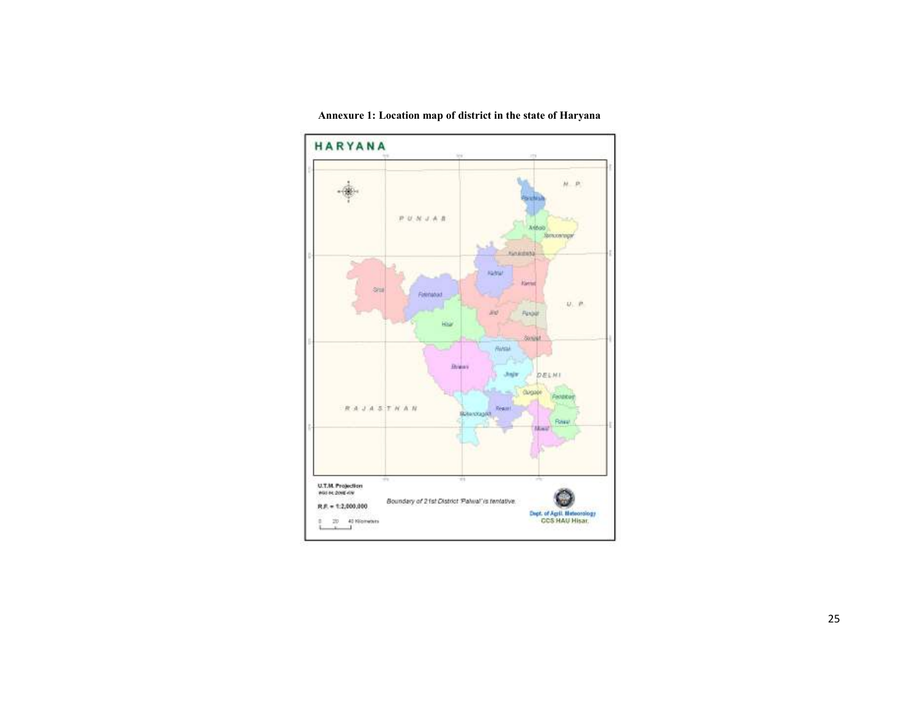

Annexure 1: Location map of district in the state of Haryana